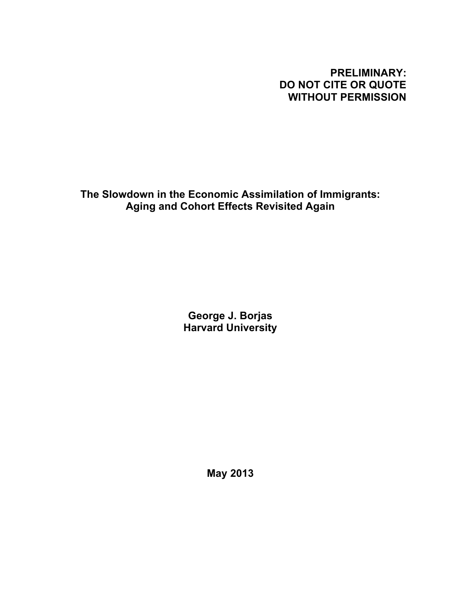# **PRELIMINARY: DO NOT CITE OR QUOTE WITHOUT PERMISSION**

**The Slowdown in the Economic Assimilation of Immigrants: Aging and Cohort Effects Revisited Again**

> **George J. Borjas Harvard University**

> > **May 2013**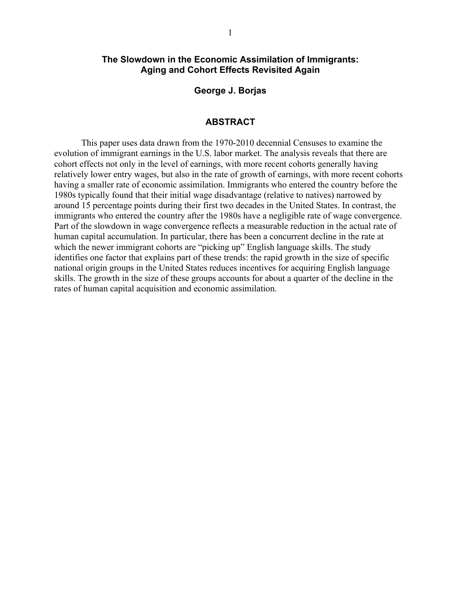## **The Slowdown in the Economic Assimilation of Immigrants: Aging and Cohort Effects Revisited Again**

**George J. Borjas**

#### **ABSTRACT**

This paper uses data drawn from the 1970-2010 decennial Censuses to examine the evolution of immigrant earnings in the U.S. labor market. The analysis reveals that there are cohort effects not only in the level of earnings, with more recent cohorts generally having relatively lower entry wages, but also in the rate of growth of earnings, with more recent cohorts having a smaller rate of economic assimilation. Immigrants who entered the country before the 1980s typically found that their initial wage disadvantage (relative to natives) narrowed by around 15 percentage points during their first two decades in the United States. In contrast, the immigrants who entered the country after the 1980s have a negligible rate of wage convergence. Part of the slowdown in wage convergence reflects a measurable reduction in the actual rate of human capital accumulation. In particular, there has been a concurrent decline in the rate at which the newer immigrant cohorts are "picking up" English language skills. The study identifies one factor that explains part of these trends: the rapid growth in the size of specific national origin groups in the United States reduces incentives for acquiring English language skills. The growth in the size of these groups accounts for about a quarter of the decline in the rates of human capital acquisition and economic assimilation.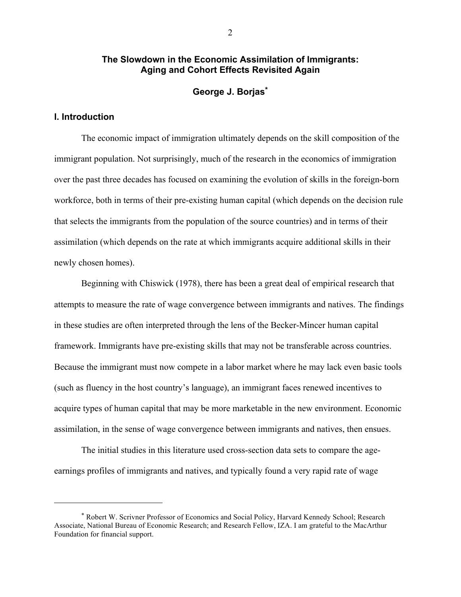## **The Slowdown in the Economic Assimilation of Immigrants: Aging and Cohort Effects Revisited Again**

## **George J. Borjas\***

## **I. Introduction**

 $\overline{a}$ 

The economic impact of immigration ultimately depends on the skill composition of the immigrant population. Not surprisingly, much of the research in the economics of immigration over the past three decades has focused on examining the evolution of skills in the foreign-born workforce, both in terms of their pre-existing human capital (which depends on the decision rule that selects the immigrants from the population of the source countries) and in terms of their assimilation (which depends on the rate at which immigrants acquire additional skills in their newly chosen homes).

Beginning with Chiswick (1978), there has been a great deal of empirical research that attempts to measure the rate of wage convergence between immigrants and natives. The findings in these studies are often interpreted through the lens of the Becker-Mincer human capital framework. Immigrants have pre-existing skills that may not be transferable across countries. Because the immigrant must now compete in a labor market where he may lack even basic tools (such as fluency in the host country's language), an immigrant faces renewed incentives to acquire types of human capital that may be more marketable in the new environment. Economic assimilation, in the sense of wage convergence between immigrants and natives, then ensues.

The initial studies in this literature used cross-section data sets to compare the ageearnings profiles of immigrants and natives, and typically found a very rapid rate of wage

<sup>\*</sup> Robert W. Scrivner Professor of Economics and Social Policy, Harvard Kennedy School; Research Associate, National Bureau of Economic Research; and Research Fellow, IZA. I am grateful to the MacArthur Foundation for financial support.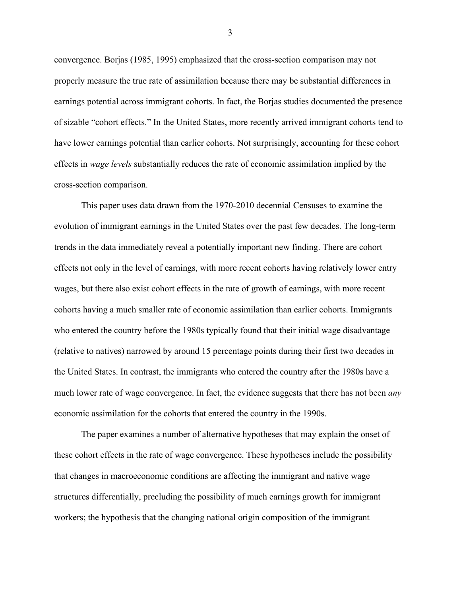convergence. Borjas (1985, 1995) emphasized that the cross-section comparison may not properly measure the true rate of assimilation because there may be substantial differences in earnings potential across immigrant cohorts. In fact, the Borjas studies documented the presence of sizable "cohort effects." In the United States, more recently arrived immigrant cohorts tend to have lower earnings potential than earlier cohorts. Not surprisingly, accounting for these cohort effects in *wage levels* substantially reduces the rate of economic assimilation implied by the cross-section comparison.

This paper uses data drawn from the 1970-2010 decennial Censuses to examine the evolution of immigrant earnings in the United States over the past few decades. The long-term trends in the data immediately reveal a potentially important new finding. There are cohort effects not only in the level of earnings, with more recent cohorts having relatively lower entry wages, but there also exist cohort effects in the rate of growth of earnings, with more recent cohorts having a much smaller rate of economic assimilation than earlier cohorts. Immigrants who entered the country before the 1980s typically found that their initial wage disadvantage (relative to natives) narrowed by around 15 percentage points during their first two decades in the United States. In contrast, the immigrants who entered the country after the 1980s have a much lower rate of wage convergence. In fact, the evidence suggests that there has not been *any* economic assimilation for the cohorts that entered the country in the 1990s.

The paper examines a number of alternative hypotheses that may explain the onset of these cohort effects in the rate of wage convergence. These hypotheses include the possibility that changes in macroeconomic conditions are affecting the immigrant and native wage structures differentially, precluding the possibility of much earnings growth for immigrant workers; the hypothesis that the changing national origin composition of the immigrant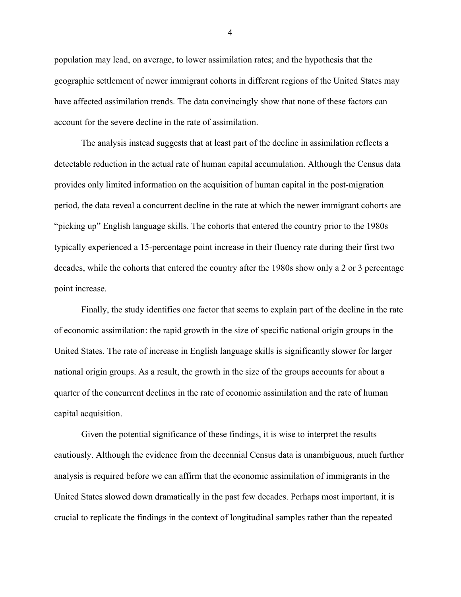population may lead, on average, to lower assimilation rates; and the hypothesis that the geographic settlement of newer immigrant cohorts in different regions of the United States may have affected assimilation trends. The data convincingly show that none of these factors can account for the severe decline in the rate of assimilation.

The analysis instead suggests that at least part of the decline in assimilation reflects a detectable reduction in the actual rate of human capital accumulation. Although the Census data provides only limited information on the acquisition of human capital in the post-migration period, the data reveal a concurrent decline in the rate at which the newer immigrant cohorts are "picking up" English language skills. The cohorts that entered the country prior to the 1980s typically experienced a 15-percentage point increase in their fluency rate during their first two decades, while the cohorts that entered the country after the 1980s show only a 2 or 3 percentage point increase.

Finally, the study identifies one factor that seems to explain part of the decline in the rate of economic assimilation: the rapid growth in the size of specific national origin groups in the United States. The rate of increase in English language skills is significantly slower for larger national origin groups. As a result, the growth in the size of the groups accounts for about a quarter of the concurrent declines in the rate of economic assimilation and the rate of human capital acquisition.

Given the potential significance of these findings, it is wise to interpret the results cautiously. Although the evidence from the decennial Census data is unambiguous, much further analysis is required before we can affirm that the economic assimilation of immigrants in the United States slowed down dramatically in the past few decades. Perhaps most important, it is crucial to replicate the findings in the context of longitudinal samples rather than the repeated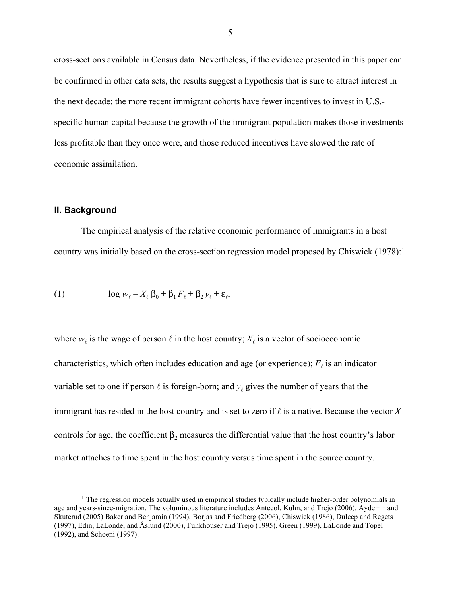cross-sections available in Census data. Nevertheless, if the evidence presented in this paper can be confirmed in other data sets, the results suggest a hypothesis that is sure to attract interest in the next decade: the more recent immigrant cohorts have fewer incentives to invest in U.S. specific human capital because the growth of the immigrant population makes those investments less profitable than they once were, and those reduced incentives have slowed the rate of economic assimilation.

#### **II. Background**

The empirical analysis of the relative economic performance of immigrants in a host country was initially based on the cross-section regression model proposed by Chiswick (1978):1

(1) 
$$
\log w_{\ell} = X_{\ell} \beta_0 + \beta_1 F_{\ell} + \beta_2 y_{\ell} + \varepsilon_{\ell},
$$

where  $w_{\ell}$  is the wage of person  $\ell$  in the host country;  $X_{\ell}$  is a vector of socioeconomic characteristics, which often includes education and age (or experience);  $F_{\ell}$  is an indicator variable set to one if person  $\ell$  is foreign-born; and  $y_\ell$  gives the number of years that the immigrant has resided in the host country and is set to zero if  $\ell$  is a native. Because the vector X controls for age, the coefficient  $\beta_2$  measures the differential value that the host country's labor market attaches to time spent in the host country versus time spent in the source country.

<sup>&</sup>lt;sup>1</sup> The regression models actually used in empirical studies typically include higher-order polynomials in age and years-since-migration. The voluminous literature includes Antecol, Kuhn, and Trejo (2006), Aydemir and Skuterud (2005) Baker and Benjamin (1994), Borjas and Friedberg (2006), Chiswick (1986), Duleep and Regets (1997), Edin, LaLonde, and Åslund (2000), Funkhouser and Trejo (1995), Green (1999), LaLonde and Topel (1992), and Schoeni (1997).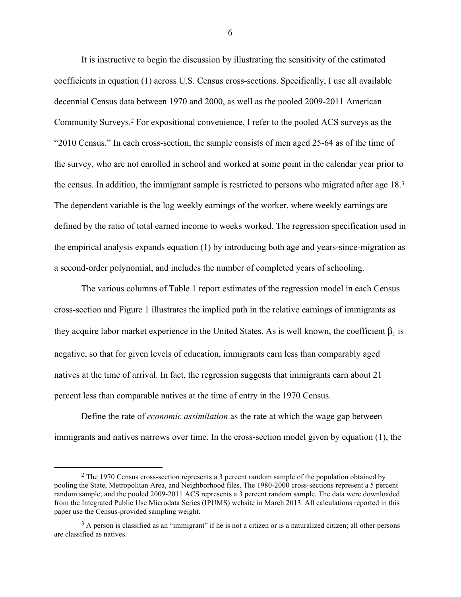It is instructive to begin the discussion by illustrating the sensitivity of the estimated coefficients in equation (1) across U.S. Census cross-sections. Specifically, I use all available decennial Census data between 1970 and 2000, as well as the pooled 2009-2011 American Community Surveys. <sup>2</sup> For expositional convenience, I refer to the pooled ACS surveys as the "2010 Census." In each cross-section, the sample consists of men aged 25-64 as of the time of the survey, who are not enrolled in school and worked at some point in the calendar year prior to the census. In addition, the immigrant sample is restricted to persons who migrated after age 18.3 The dependent variable is the log weekly earnings of the worker, where weekly earnings are defined by the ratio of total earned income to weeks worked. The regression specification used in the empirical analysis expands equation (1) by introducing both age and years-since-migration as a second-order polynomial, and includes the number of completed years of schooling.

The various columns of Table 1 report estimates of the regression model in each Census cross-section and Figure 1 illustrates the implied path in the relative earnings of immigrants as they acquire labor market experience in the United States. As is well known, the coefficient  $\beta_1$  is negative, so that for given levels of education, immigrants earn less than comparably aged natives at the time of arrival. In fact, the regression suggests that immigrants earn about 21 percent less than comparable natives at the time of entry in the 1970 Census.

Define the rate of *economic assimilation* as the rate at which the wage gap between immigrants and natives narrows over time. In the cross-section model given by equation (1), the

<sup>&</sup>lt;sup>2</sup> The 1970 Census cross-section represents a 3 percent random sample of the population obtained by pooling the State, Metropolitan Area, and Neighborhood files. The 1980-2000 cross-sections represent a 5 percent random sample, and the pooled 2009-2011 ACS represents a 3 percent random sample. The data were downloaded from the Integrated Public Use Microdata Series (IPUMS) website in March 2013. All calculations reported in this paper use the Census-provided sampling weight.

<sup>&</sup>lt;sup>3</sup> A person is classified as an "immigrant" if he is not a citizen or is a naturalized citizen; all other persons are classified as natives.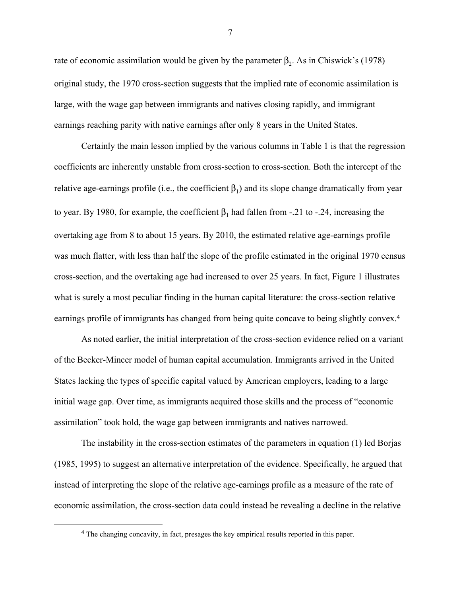rate of economic assimilation would be given by the parameter  $β_2$ . As in Chiswick's (1978) original study, the 1970 cross-section suggests that the implied rate of economic assimilation is large, with the wage gap between immigrants and natives closing rapidly, and immigrant earnings reaching parity with native earnings after only 8 years in the United States.

Certainly the main lesson implied by the various columns in Table 1 is that the regression coefficients are inherently unstable from cross-section to cross-section. Both the intercept of the relative age-earnings profile (i.e., the coefficient  $\beta_1$ ) and its slope change dramatically from year to year. By 1980, for example, the coefficient  $β_1$  had fallen from -.21 to -.24, increasing the overtaking age from 8 to about 15 years. By 2010, the estimated relative age-earnings profile was much flatter, with less than half the slope of the profile estimated in the original 1970 census cross-section, and the overtaking age had increased to over 25 years. In fact, Figure 1 illustrates what is surely a most peculiar finding in the human capital literature: the cross-section relative earnings profile of immigrants has changed from being quite concave to being slightly convex.<sup>4</sup>

As noted earlier, the initial interpretation of the cross-section evidence relied on a variant of the Becker-Mincer model of human capital accumulation. Immigrants arrived in the United States lacking the types of specific capital valued by American employers, leading to a large initial wage gap. Over time, as immigrants acquired those skills and the process of "economic assimilation" took hold, the wage gap between immigrants and natives narrowed.

The instability in the cross-section estimates of the parameters in equation (1) led Borjas (1985, 1995) to suggest an alternative interpretation of the evidence. Specifically, he argued that instead of interpreting the slope of the relative age-earnings profile as a measure of the rate of economic assimilation, the cross-section data could instead be revealing a decline in the relative

 <sup>4</sup> The changing concavity, in fact, presages the key empirical results reported in this paper.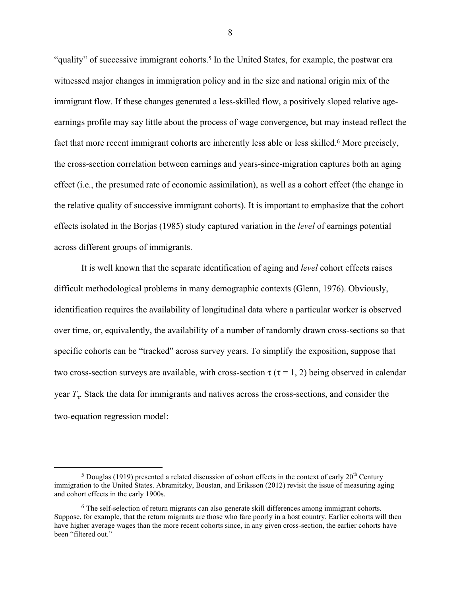"quality" of successive immigrant cohorts.<sup>5</sup> In the United States, for example, the postwar era witnessed major changes in immigration policy and in the size and national origin mix of the immigrant flow. If these changes generated a less-skilled flow, a positively sloped relative ageearnings profile may say little about the process of wage convergence, but may instead reflect the fact that more recent immigrant cohorts are inherently less able or less skilled.<sup>6</sup> More precisely, the cross-section correlation between earnings and years-since-migration captures both an aging effect (i.e., the presumed rate of economic assimilation), as well as a cohort effect (the change in the relative quality of successive immigrant cohorts). It is important to emphasize that the cohort effects isolated in the Borjas (1985) study captured variation in the *level* of earnings potential across different groups of immigrants.

It is well known that the separate identification of aging and *level* cohort effects raises difficult methodological problems in many demographic contexts (Glenn, 1976). Obviously, identification requires the availability of longitudinal data where a particular worker is observed over time, or, equivalently, the availability of a number of randomly drawn cross-sections so that specific cohorts can be "tracked" across survey years. To simplify the exposition, suppose that two cross-section surveys are available, with cross-section  $\tau$  ( $\tau$  = 1, 2) being observed in calendar year  $T<sub>τ</sub>$ . Stack the data for immigrants and natives across the cross-sections, and consider the two-equation regression model:

 $5$  Douglas (1919) presented a related discussion of cohort effects in the context of early  $20<sup>th</sup>$  Century immigration to the United States. Abramitzky, Boustan, and Eriksson (2012) revisit the issue of measuring aging and cohort effects in the early 1900s.

<sup>6</sup> The self-selection of return migrants can also generate skill differences among immigrant cohorts. Suppose, for example, that the return migrants are those who fare poorly in a host country, Earlier cohorts will then have higher average wages than the more recent cohorts since, in any given cross-section, the earlier cohorts have been "filtered out."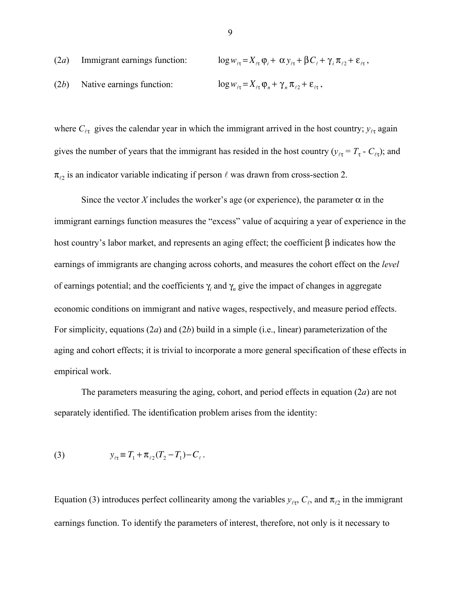(2*a*) Immigrant earnings function: 
$$
\log w_{\ell\tau} = X_{\ell\tau} \varphi_i + \alpha y_{\ell\tau} + \beta C_{\ell} + \gamma_i \pi_{\ell 2} + \varepsilon_{\ell\tau},
$$
  
(2*b*) Native earnings function: 
$$
\log w_{\ell\tau} = X_{\ell\tau} \varphi_n + \gamma_n \pi_{\ell 2} + \varepsilon_{\ell\tau},
$$

where  $C_{\ell\tau}$  gives the calendar year in which the immigrant arrived in the host country;  $y_{\ell\tau}$  again gives the number of years that the immigrant has resided in the host country ( $y_{\ell\tau} = T_{\tau} - C_{\ell\tau}$ ); and  $\pi_{22}$  is an indicator variable indicating if person  $\ell$  was drawn from cross-section 2.

Since the vector *X* includes the worker's age (or experience), the parameter  $\alpha$  in the immigrant earnings function measures the "excess" value of acquiring a year of experience in the host country's labor market, and represents an aging effect; the coefficient β indicates how the earnings of immigrants are changing across cohorts, and measures the cohort effect on the *level* of earnings potential; and the coefficients  $\gamma_i$  and  $\gamma_n$  give the impact of changes in aggregate economic conditions on immigrant and native wages, respectively, and measure period effects. For simplicity, equations (2*a*) and (2*b*) build in a simple (i.e., linear) parameterization of the aging and cohort effects; it is trivial to incorporate a more general specification of these effects in empirical work.

The parameters measuring the aging, cohort, and period effects in equation (2*a*) are not separately identified. The identification problem arises from the identity:

(3) 
$$
y_{\ell \tau} \equiv T_1 + \pi_{\ell 2} (T_2 - T_1) - C_{\ell}.
$$

Equation (3) introduces perfect collinearity among the variables  $y_{\ell\tau}$ ,  $C_{\ell}$ , and  $\pi_{\ell 2}$  in the immigrant earnings function. To identify the parameters of interest, therefore, not only is it necessary to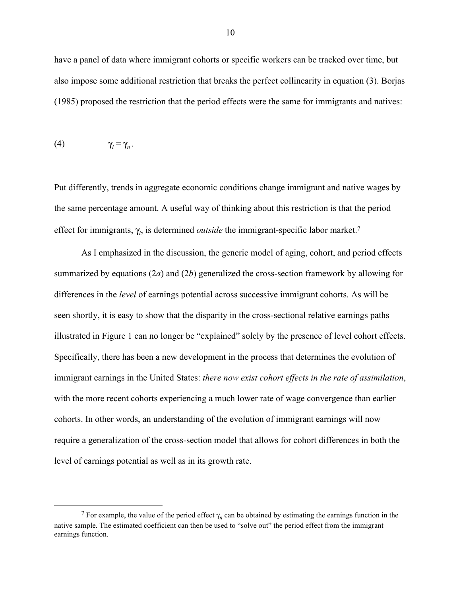have a panel of data where immigrant cohorts or specific workers can be tracked over time, but also impose some additional restriction that breaks the perfect collinearity in equation (3). Borjas (1985) proposed the restriction that the period effects were the same for immigrants and natives:

$$
(4) \hspace{1cm} \gamma_i = \gamma_n \, .
$$

Put differently, trends in aggregate economic conditions change immigrant and native wages by the same percentage amount. A useful way of thinking about this restriction is that the period effect for immigrants, γ*<sup>i</sup>* , is determined *outside* the immigrant-specific labor market.7

As I emphasized in the discussion, the generic model of aging, cohort, and period effects summarized by equations (2*a*) and (2*b*) generalized the cross-section framework by allowing for differences in the *level* of earnings potential across successive immigrant cohorts. As will be seen shortly, it is easy to show that the disparity in the cross-sectional relative earnings paths illustrated in Figure 1 can no longer be "explained" solely by the presence of level cohort effects. Specifically, there has been a new development in the process that determines the evolution of immigrant earnings in the United States: *there now exist cohort effects in the rate of assimilation*, with the more recent cohorts experiencing a much lower rate of wage convergence than earlier cohorts. In other words, an understanding of the evolution of immigrant earnings will now require a generalization of the cross-section model that allows for cohort differences in both the level of earnings potential as well as in its growth rate.

<sup>&</sup>lt;sup>7</sup> For example, the value of the period effect  $\gamma_n$  can be obtained by estimating the earnings function in the native sample. The estimated coefficient can then be used to "solve out" the period effect from the immigrant earnings function.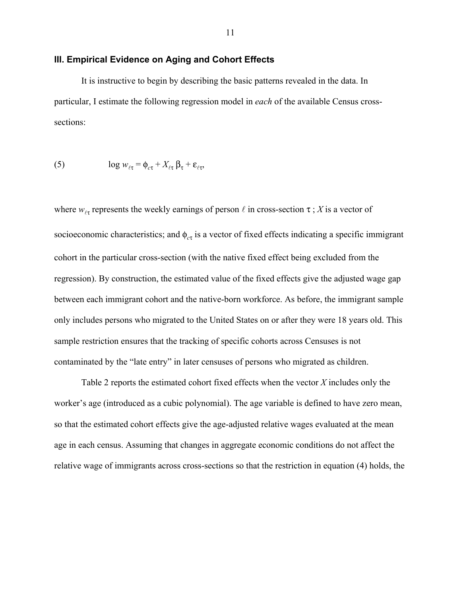### **III. Empirical Evidence on Aging and Cohort Effects**

It is instructive to begin by describing the basic patterns revealed in the data. In particular, I estimate the following regression model in *each* of the available Census crosssections:

(5) 
$$
\log w_{\ell \tau} = \phi_{c \tau} + X_{\ell \tau} \beta_{\tau} + \varepsilon_{\ell \tau},
$$

where  $w_{\tau}$  represents the weekly earnings of person  $\ell$  in cross-section  $\tau$ ; *X* is a vector of socioeconomic characteristics; and  $\phi_{c\tau}$  is a vector of fixed effects indicating a specific immigrant cohort in the particular cross-section (with the native fixed effect being excluded from the regression). By construction, the estimated value of the fixed effects give the adjusted wage gap between each immigrant cohort and the native-born workforce. As before, the immigrant sample only includes persons who migrated to the United States on or after they were 18 years old. This sample restriction ensures that the tracking of specific cohorts across Censuses is not contaminated by the "late entry" in later censuses of persons who migrated as children.

Table 2 reports the estimated cohort fixed effects when the vector *X* includes only the worker's age (introduced as a cubic polynomial). The age variable is defined to have zero mean, so that the estimated cohort effects give the age-adjusted relative wages evaluated at the mean age in each census. Assuming that changes in aggregate economic conditions do not affect the relative wage of immigrants across cross-sections so that the restriction in equation (4) holds, the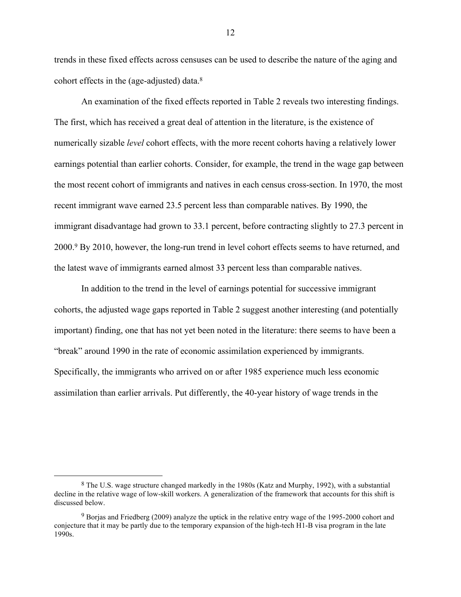trends in these fixed effects across censuses can be used to describe the nature of the aging and cohort effects in the (age-adjusted) data.8

An examination of the fixed effects reported in Table 2 reveals two interesting findings. The first, which has received a great deal of attention in the literature, is the existence of numerically sizable *level* cohort effects, with the more recent cohorts having a relatively lower earnings potential than earlier cohorts. Consider, for example, the trend in the wage gap between the most recent cohort of immigrants and natives in each census cross-section. In 1970, the most recent immigrant wave earned 23.5 percent less than comparable natives. By 1990, the immigrant disadvantage had grown to 33.1 percent, before contracting slightly to 27.3 percent in 2000.9 By 2010, however, the long-run trend in level cohort effects seems to have returned, and the latest wave of immigrants earned almost 33 percent less than comparable natives.

In addition to the trend in the level of earnings potential for successive immigrant cohorts, the adjusted wage gaps reported in Table 2 suggest another interesting (and potentially important) finding, one that has not yet been noted in the literature: there seems to have been a "break" around 1990 in the rate of economic assimilation experienced by immigrants. Specifically, the immigrants who arrived on or after 1985 experience much less economic assimilation than earlier arrivals. Put differently, the 40-year history of wage trends in the

 <sup>8</sup> The U.S. wage structure changed markedly in the 1980s (Katz and Murphy, 1992), with a substantial decline in the relative wage of low-skill workers. A generalization of the framework that accounts for this shift is discussed below.

<sup>9</sup> Borjas and Friedberg (2009) analyze the uptick in the relative entry wage of the 1995-2000 cohort and conjecture that it may be partly due to the temporary expansion of the high-tech H1-B visa program in the late 1990s.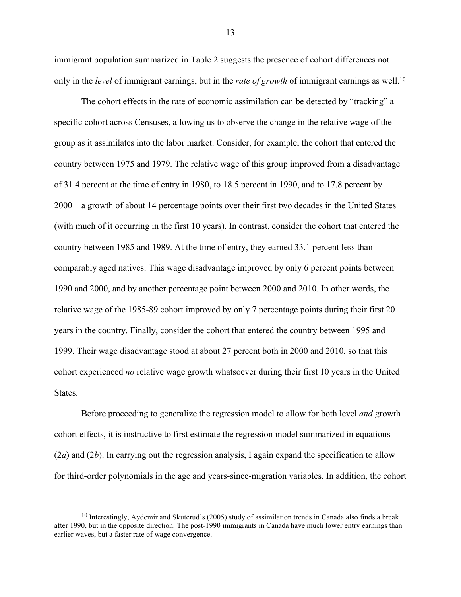immigrant population summarized in Table 2 suggests the presence of cohort differences not only in the *level* of immigrant earnings, but in the *rate of growth* of immigrant earnings as well. 10

The cohort effects in the rate of economic assimilation can be detected by "tracking" a specific cohort across Censuses, allowing us to observe the change in the relative wage of the group as it assimilates into the labor market. Consider, for example, the cohort that entered the country between 1975 and 1979. The relative wage of this group improved from a disadvantage of 31.4 percent at the time of entry in 1980, to 18.5 percent in 1990, and to 17.8 percent by 2000—a growth of about 14 percentage points over their first two decades in the United States (with much of it occurring in the first 10 years). In contrast, consider the cohort that entered the country between 1985 and 1989. At the time of entry, they earned 33.1 percent less than comparably aged natives. This wage disadvantage improved by only 6 percent points between 1990 and 2000, and by another percentage point between 2000 and 2010. In other words, the relative wage of the 1985-89 cohort improved by only 7 percentage points during their first 20 years in the country. Finally, consider the cohort that entered the country between 1995 and 1999. Their wage disadvantage stood at about 27 percent both in 2000 and 2010, so that this cohort experienced *no* relative wage growth whatsoever during their first 10 years in the United States.

Before proceeding to generalize the regression model to allow for both level *and* growth cohort effects, it is instructive to first estimate the regression model summarized in equations (2*a*) and (2*b*). In carrying out the regression analysis, I again expand the specification to allow for third-order polynomials in the age and years-since-migration variables. In addition, the cohort

 <sup>10</sup> Interestingly, Aydemir and Skuterud's (2005) study of assimilation trends in Canada also finds a break after 1990, but in the opposite direction. The post-1990 immigrants in Canada have much lower entry earnings than earlier waves, but a faster rate of wage convergence.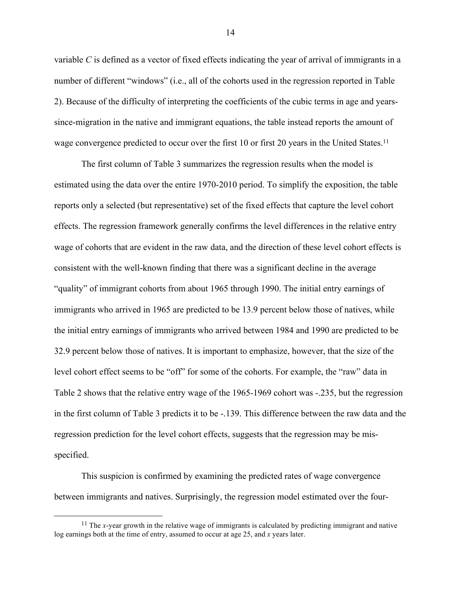variable *C* is defined as a vector of fixed effects indicating the year of arrival of immigrants in a number of different "windows" (i.e., all of the cohorts used in the regression reported in Table 2). Because of the difficulty of interpreting the coefficients of the cubic terms in age and yearssince-migration in the native and immigrant equations, the table instead reports the amount of wage convergence predicted to occur over the first 10 or first 20 years in the United States.<sup>11</sup>

The first column of Table 3 summarizes the regression results when the model is estimated using the data over the entire 1970-2010 period. To simplify the exposition, the table reports only a selected (but representative) set of the fixed effects that capture the level cohort effects. The regression framework generally confirms the level differences in the relative entry wage of cohorts that are evident in the raw data, and the direction of these level cohort effects is consistent with the well-known finding that there was a significant decline in the average "quality" of immigrant cohorts from about 1965 through 1990. The initial entry earnings of immigrants who arrived in 1965 are predicted to be 13.9 percent below those of natives, while the initial entry earnings of immigrants who arrived between 1984 and 1990 are predicted to be 32.9 percent below those of natives. It is important to emphasize, however, that the size of the level cohort effect seems to be "off" for some of the cohorts. For example, the "raw" data in Table 2 shows that the relative entry wage of the 1965-1969 cohort was -.235, but the regression in the first column of Table 3 predicts it to be -.139. This difference between the raw data and the regression prediction for the level cohort effects, suggests that the regression may be misspecified.

This suspicion is confirmed by examining the predicted rates of wage convergence between immigrants and natives. Surprisingly, the regression model estimated over the four-

<sup>&</sup>lt;sup>11</sup> The *x*-year growth in the relative wage of immigrants is calculated by predicting immigrant and native log earnings both at the time of entry, assumed to occur at age 25, and *x* years later.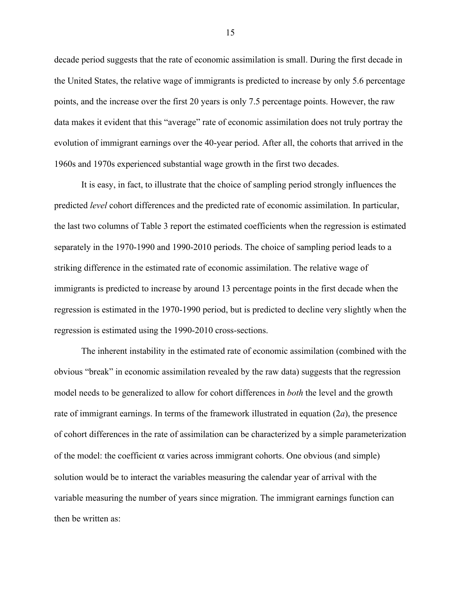decade period suggests that the rate of economic assimilation is small. During the first decade in the United States, the relative wage of immigrants is predicted to increase by only 5.6 percentage points, and the increase over the first 20 years is only 7.5 percentage points. However, the raw data makes it evident that this "average" rate of economic assimilation does not truly portray the evolution of immigrant earnings over the 40-year period. After all, the cohorts that arrived in the 1960s and 1970s experienced substantial wage growth in the first two decades.

It is easy, in fact, to illustrate that the choice of sampling period strongly influences the predicted *level* cohort differences and the predicted rate of economic assimilation. In particular, the last two columns of Table 3 report the estimated coefficients when the regression is estimated separately in the 1970-1990 and 1990-2010 periods. The choice of sampling period leads to a striking difference in the estimated rate of economic assimilation. The relative wage of immigrants is predicted to increase by around 13 percentage points in the first decade when the regression is estimated in the 1970-1990 period, but is predicted to decline very slightly when the regression is estimated using the 1990-2010 cross-sections.

The inherent instability in the estimated rate of economic assimilation (combined with the obvious "break" in economic assimilation revealed by the raw data) suggests that the regression model needs to be generalized to allow for cohort differences in *both* the level and the growth rate of immigrant earnings. In terms of the framework illustrated in equation (2*a*), the presence of cohort differences in the rate of assimilation can be characterized by a simple parameterization of the model: the coefficient  $\alpha$  varies across immigrant cohorts. One obvious (and simple) solution would be to interact the variables measuring the calendar year of arrival with the variable measuring the number of years since migration. The immigrant earnings function can then be written as: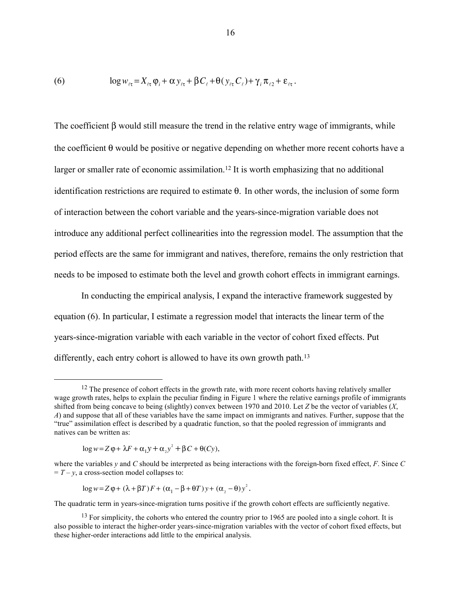(6) 
$$
\log w_{\ell \tau} = X_{\ell \tau} \varphi_i + \alpha y_{\ell \tau} + \beta C_{\ell} + \theta (y_{\ell \tau} C_{\ell}) + \gamma_i \pi_{\ell 2} + \varepsilon_{\ell \tau}.
$$

The coefficient  $\beta$  would still measure the trend in the relative entry wage of immigrants, while the coefficient  $\theta$  would be positive or negative depending on whether more recent cohorts have a larger or smaller rate of economic assimilation. <sup>12</sup> It is worth emphasizing that no additional identification restrictions are required to estimate θ. In other words, the inclusion of some form of interaction between the cohort variable and the years-since-migration variable does not introduce any additional perfect collinearities into the regression model. The assumption that the period effects are the same for immigrant and natives, therefore, remains the only restriction that needs to be imposed to estimate both the level and growth cohort effects in immigrant earnings.

In conducting the empirical analysis, I expand the interactive framework suggested by equation (6). In particular, I estimate a regression model that interacts the linear term of the years-since-migration variable with each variable in the vector of cohort fixed effects. Put differently, each entry cohort is allowed to have its own growth path.<sup>13</sup>

$$
\log w = Z\varphi + \lambda F + \alpha_1 y + \alpha_2 y^2 + \beta C + \theta(Cy),
$$

where the variables *y* and *C* should be interpreted as being interactions with the foreign-born fixed effect, *F*. Since *C*  $= T - y$ , a cross-section model collapses to:

$$
\log w = Z \varphi + (\lambda + \beta T) F + (\alpha_1 - \beta + \theta T) y + (\alpha_2 - \theta) y^2.
$$

The quadratic term in years-since-migration turns positive if the growth cohort effects are sufficiently negative.

 $12$  The presence of cohort effects in the growth rate, with more recent cohorts having relatively smaller wage growth rates, helps to explain the peculiar finding in Figure 1 where the relative earnings profile of immigrants shifted from being concave to being (slightly) convex between 1970 and 2010. Let *Z* be the vector of variables (*X*, *A*) and suppose that all of these variables have the same impact on immigrants and natives. Further, suppose that the "true" assimilation effect is described by a quadratic function, so that the pooled regression of immigrants and natives can be written as:

<sup>&</sup>lt;sup>13</sup> For simplicity, the cohorts who entered the country prior to 1965 are pooled into a single cohort. It is also possible to interact the higher-order years-since-migration variables with the vector of cohort fixed effects, but these higher-order interactions add little to the empirical analysis.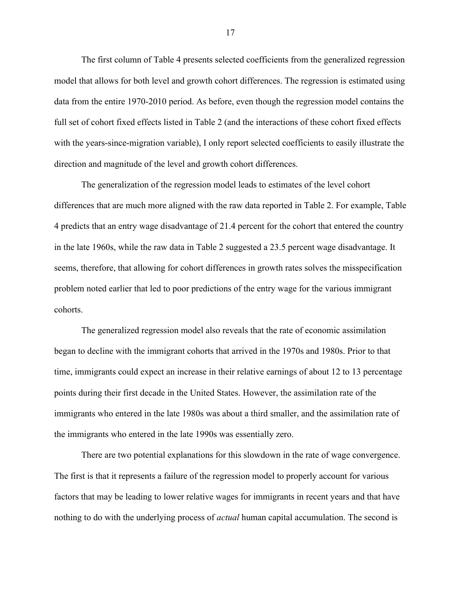The first column of Table 4 presents selected coefficients from the generalized regression model that allows for both level and growth cohort differences. The regression is estimated using data from the entire 1970-2010 period. As before, even though the regression model contains the full set of cohort fixed effects listed in Table 2 (and the interactions of these cohort fixed effects with the years-since-migration variable), I only report selected coefficients to easily illustrate the direction and magnitude of the level and growth cohort differences.

The generalization of the regression model leads to estimates of the level cohort differences that are much more aligned with the raw data reported in Table 2. For example, Table 4 predicts that an entry wage disadvantage of 21.4 percent for the cohort that entered the country in the late 1960s, while the raw data in Table 2 suggested a 23.5 percent wage disadvantage. It seems, therefore, that allowing for cohort differences in growth rates solves the misspecification problem noted earlier that led to poor predictions of the entry wage for the various immigrant cohorts.

The generalized regression model also reveals that the rate of economic assimilation began to decline with the immigrant cohorts that arrived in the 1970s and 1980s. Prior to that time, immigrants could expect an increase in their relative earnings of about 12 to 13 percentage points during their first decade in the United States. However, the assimilation rate of the immigrants who entered in the late 1980s was about a third smaller, and the assimilation rate of the immigrants who entered in the late 1990s was essentially zero.

There are two potential explanations for this slowdown in the rate of wage convergence. The first is that it represents a failure of the regression model to properly account for various factors that may be leading to lower relative wages for immigrants in recent years and that have nothing to do with the underlying process of *actual* human capital accumulation. The second is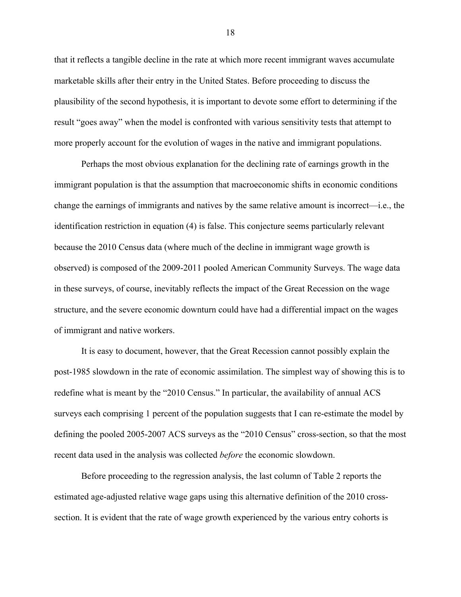that it reflects a tangible decline in the rate at which more recent immigrant waves accumulate marketable skills after their entry in the United States. Before proceeding to discuss the plausibility of the second hypothesis, it is important to devote some effort to determining if the result "goes away" when the model is confronted with various sensitivity tests that attempt to more properly account for the evolution of wages in the native and immigrant populations.

Perhaps the most obvious explanation for the declining rate of earnings growth in the immigrant population is that the assumption that macroeconomic shifts in economic conditions change the earnings of immigrants and natives by the same relative amount is incorrect—i.e., the identification restriction in equation (4) is false. This conjecture seems particularly relevant because the 2010 Census data (where much of the decline in immigrant wage growth is observed) is composed of the 2009-2011 pooled American Community Surveys. The wage data in these surveys, of course, inevitably reflects the impact of the Great Recession on the wage structure, and the severe economic downturn could have had a differential impact on the wages of immigrant and native workers.

It is easy to document, however, that the Great Recession cannot possibly explain the post-1985 slowdown in the rate of economic assimilation. The simplest way of showing this is to redefine what is meant by the "2010 Census." In particular, the availability of annual ACS surveys each comprising 1 percent of the population suggests that I can re-estimate the model by defining the pooled 2005-2007 ACS surveys as the "2010 Census" cross-section, so that the most recent data used in the analysis was collected *before* the economic slowdown.

Before proceeding to the regression analysis, the last column of Table 2 reports the estimated age-adjusted relative wage gaps using this alternative definition of the 2010 crosssection. It is evident that the rate of wage growth experienced by the various entry cohorts is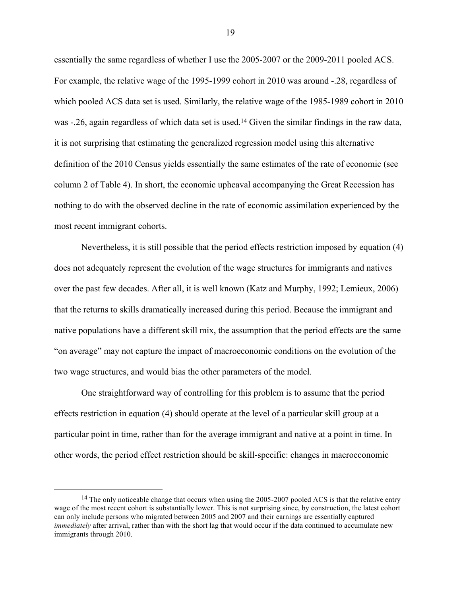essentially the same regardless of whether I use the 2005-2007 or the 2009-2011 pooled ACS. For example, the relative wage of the 1995-1999 cohort in 2010 was around -.28, regardless of which pooled ACS data set is used. Similarly, the relative wage of the 1985-1989 cohort in 2010 was -.26, again regardless of which data set is used.<sup>14</sup> Given the similar findings in the raw data, it is not surprising that estimating the generalized regression model using this alternative definition of the 2010 Census yields essentially the same estimates of the rate of economic (see column 2 of Table 4). In short, the economic upheaval accompanying the Great Recession has nothing to do with the observed decline in the rate of economic assimilation experienced by the most recent immigrant cohorts.

Nevertheless, it is still possible that the period effects restriction imposed by equation (4) does not adequately represent the evolution of the wage structures for immigrants and natives over the past few decades. After all, it is well known (Katz and Murphy, 1992; Lemieux, 2006) that the returns to skills dramatically increased during this period. Because the immigrant and native populations have a different skill mix, the assumption that the period effects are the same "on average" may not capture the impact of macroeconomic conditions on the evolution of the two wage structures, and would bias the other parameters of the model.

One straightforward way of controlling for this problem is to assume that the period effects restriction in equation (4) should operate at the level of a particular skill group at a particular point in time, rather than for the average immigrant and native at a point in time. In other words, the period effect restriction should be skill-specific: changes in macroeconomic

 $14$  The only noticeable change that occurs when using the 2005-2007 pooled ACS is that the relative entry wage of the most recent cohort is substantially lower. This is not surprising since, by construction, the latest cohort can only include persons who migrated between 2005 and 2007 and their earnings are essentially captured *immediately* after arrival, rather than with the short lag that would occur if the data continued to accumulate new immigrants through 2010.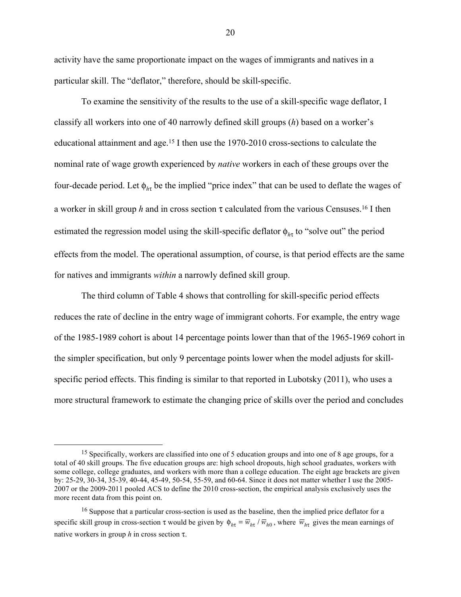activity have the same proportionate impact on the wages of immigrants and natives in a particular skill. The "deflator," therefore, should be skill-specific.

To examine the sensitivity of the results to the use of a skill-specific wage deflator, I classify all workers into one of 40 narrowly defined skill groups (*h*) based on a worker's educational attainment and age.15 I then use the 1970-2010 cross-sections to calculate the nominal rate of wage growth experienced by *native* workers in each of these groups over the four-decade period. Let  $\phi_{h\tau}$  be the implied "price index" that can be used to deflate the wages of a worker in skill group *h* and in cross section τ calculated from the various Censuses.16 I then estimated the regression model using the skill-specific deflator φ*<sup>h</sup>*<sup>τ</sup> to "solve out" the period effects from the model. The operational assumption, of course, is that period effects are the same for natives and immigrants *within* a narrowly defined skill group.

The third column of Table 4 shows that controlling for skill-specific period effects reduces the rate of decline in the entry wage of immigrant cohorts. For example, the entry wage of the 1985-1989 cohort is about 14 percentage points lower than that of the 1965-1969 cohort in the simpler specification, but only 9 percentage points lower when the model adjusts for skillspecific period effects. This finding is similar to that reported in Lubotsky (2011), who uses a more structural framework to estimate the changing price of skills over the period and concludes

<sup>&</sup>lt;sup>15</sup> Specifically, workers are classified into one of 5 education groups and into one of 8 age groups, for a total of 40 skill groups. The five education groups are: high school dropouts, high school graduates, workers with some college, college graduates, and workers with more than a college education. The eight age brackets are given by: 25-29, 30-34, 35-39, 40-44, 45-49, 50-54, 55-59, and 60-64. Since it does not matter whether I use the 2005- 2007 or the 2009-2011 pooled ACS to define the 2010 cross-section, the empirical analysis exclusively uses the more recent data from this point on.

<sup>&</sup>lt;sup>16</sup> Suppose that a particular cross-section is used as the baseline, then the implied price deflator for a specific skill group in cross-section  $\tau$  would be given by  $\phi_{h\tau} = \overline{w}_{h\tau}/\overline{w}_{h0}$ , where  $\overline{w}_{h\tau}$  gives the mean earnings of native workers in group *h* in cross section τ.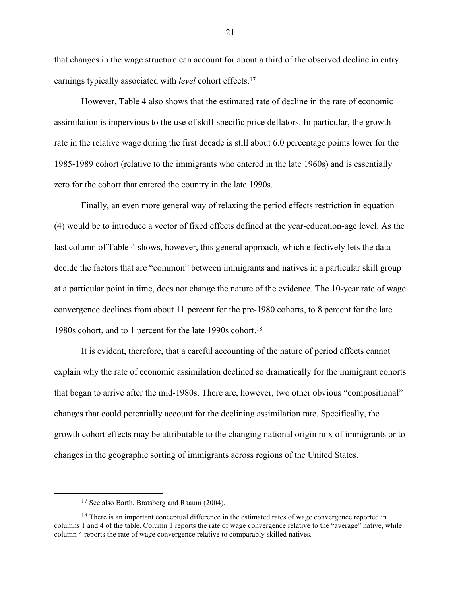that changes in the wage structure can account for about a third of the observed decline in entry earnings typically associated with *level* cohort effects.17

However, Table 4 also shows that the estimated rate of decline in the rate of economic assimilation is impervious to the use of skill-specific price deflators. In particular, the growth rate in the relative wage during the first decade is still about 6.0 percentage points lower for the 1985-1989 cohort (relative to the immigrants who entered in the late 1960s) and is essentially zero for the cohort that entered the country in the late 1990s.

Finally, an even more general way of relaxing the period effects restriction in equation (4) would be to introduce a vector of fixed effects defined at the year-education-age level. As the last column of Table 4 shows, however, this general approach, which effectively lets the data decide the factors that are "common" between immigrants and natives in a particular skill group at a particular point in time, does not change the nature of the evidence. The 10-year rate of wage convergence declines from about 11 percent for the pre-1980 cohorts, to 8 percent for the late 1980s cohort, and to 1 percent for the late 1990s cohort.18

It is evident, therefore, that a careful accounting of the nature of period effects cannot explain why the rate of economic assimilation declined so dramatically for the immigrant cohorts that began to arrive after the mid-1980s. There are, however, two other obvious "compositional" changes that could potentially account for the declining assimilation rate. Specifically, the growth cohort effects may be attributable to the changing national origin mix of immigrants or to changes in the geographic sorting of immigrants across regions of the United States.

 <sup>17</sup> See also Barth, Bratsberg and Raaum (2004).

<sup>&</sup>lt;sup>18</sup> There is an important conceptual difference in the estimated rates of wage convergence reported in columns 1 and 4 of the table. Column 1 reports the rate of wage convergence relative to the "average" native, while column 4 reports the rate of wage convergence relative to comparably skilled natives.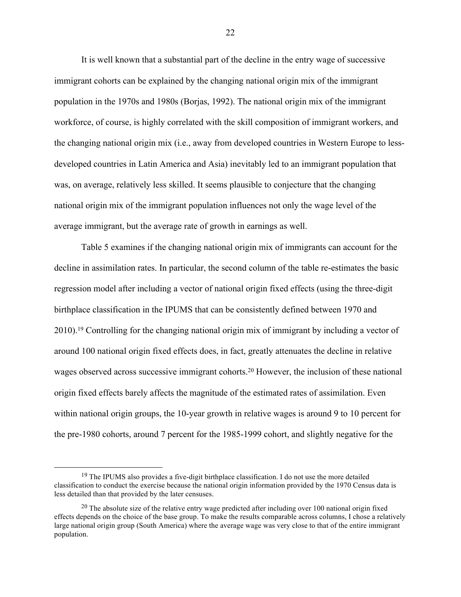It is well known that a substantial part of the decline in the entry wage of successive immigrant cohorts can be explained by the changing national origin mix of the immigrant population in the 1970s and 1980s (Borjas, 1992). The national origin mix of the immigrant workforce, of course, is highly correlated with the skill composition of immigrant workers, and the changing national origin mix (i.e., away from developed countries in Western Europe to lessdeveloped countries in Latin America and Asia) inevitably led to an immigrant population that was, on average, relatively less skilled. It seems plausible to conjecture that the changing national origin mix of the immigrant population influences not only the wage level of the average immigrant, but the average rate of growth in earnings as well.

Table 5 examines if the changing national origin mix of immigrants can account for the decline in assimilation rates. In particular, the second column of the table re-estimates the basic regression model after including a vector of national origin fixed effects (using the three-digit birthplace classification in the IPUMS that can be consistently defined between 1970 and 2010). <sup>19</sup> Controlling for the changing national origin mix of immigrant by including a vector of around 100 national origin fixed effects does, in fact, greatly attenuates the decline in relative wages observed across successive immigrant cohorts.<sup>20</sup> However, the inclusion of these national origin fixed effects barely affects the magnitude of the estimated rates of assimilation. Even within national origin groups, the 10-year growth in relative wages is around 9 to 10 percent for the pre-1980 cohorts, around 7 percent for the 1985-1999 cohort, and slightly negative for the

<sup>&</sup>lt;sup>19</sup> The IPUMS also provides a five-digit birthplace classification. I do not use the more detailed classification to conduct the exercise because the national origin information provided by the 1970 Census data is less detailed than that provided by the later censuses.

 $^{20}$  The absolute size of the relative entry wage predicted after including over 100 national origin fixed effects depends on the choice of the base group. To make the results comparable across columns, I chose a relatively large national origin group (South America) where the average wage was very close to that of the entire immigrant population.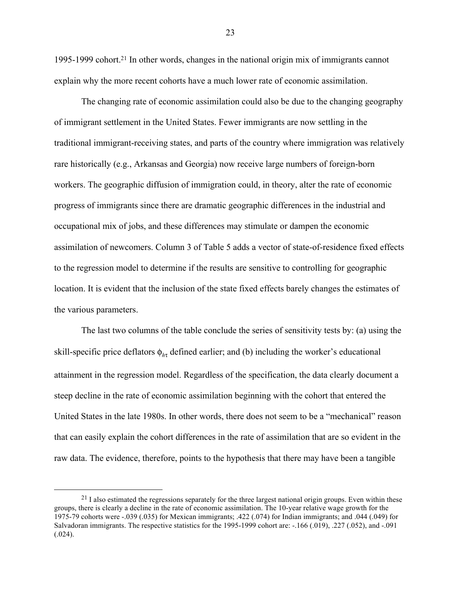1995-1999 cohort.21 In other words, changes in the national origin mix of immigrants cannot explain why the more recent cohorts have a much lower rate of economic assimilation.

The changing rate of economic assimilation could also be due to the changing geography of immigrant settlement in the United States. Fewer immigrants are now settling in the traditional immigrant-receiving states, and parts of the country where immigration was relatively rare historically (e.g., Arkansas and Georgia) now receive large numbers of foreign-born workers. The geographic diffusion of immigration could, in theory, alter the rate of economic progress of immigrants since there are dramatic geographic differences in the industrial and occupational mix of jobs, and these differences may stimulate or dampen the economic assimilation of newcomers. Column 3 of Table 5 adds a vector of state-of-residence fixed effects to the regression model to determine if the results are sensitive to controlling for geographic location. It is evident that the inclusion of the state fixed effects barely changes the estimates of the various parameters.

The last two columns of the table conclude the series of sensitivity tests by: (a) using the skill-specific price deflators φ*<sup>h</sup>*<sup>τ</sup> defined earlier; and (b) including the worker's educational attainment in the regression model. Regardless of the specification, the data clearly document a steep decline in the rate of economic assimilation beginning with the cohort that entered the United States in the late 1980s. In other words, there does not seem to be a "mechanical" reason that can easily explain the cohort differences in the rate of assimilation that are so evident in the raw data. The evidence, therefore, points to the hypothesis that there may have been a tangible

 $^{21}$  I also estimated the regressions separately for the three largest national origin groups. Even within these groups, there is clearly a decline in the rate of economic assimilation. The 10-year relative wage growth for the 1975-79 cohorts were -.039 (.035) for Mexican immigrants; .422 (.074) for Indian immigrants; and .044 (.049) for Salvadoran immigrants. The respective statistics for the 1995-1999 cohort are: -.166 (.019), .227 (.052), and -.091  $(.024).$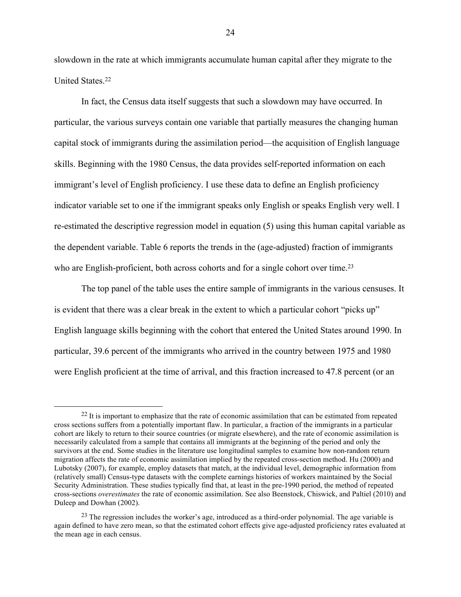slowdown in the rate at which immigrants accumulate human capital after they migrate to the United States.22

In fact, the Census data itself suggests that such a slowdown may have occurred. In particular, the various surveys contain one variable that partially measures the changing human capital stock of immigrants during the assimilation period—the acquisition of English language skills. Beginning with the 1980 Census, the data provides self-reported information on each immigrant's level of English proficiency. I use these data to define an English proficiency indicator variable set to one if the immigrant speaks only English or speaks English very well. I re-estimated the descriptive regression model in equation (5) using this human capital variable as the dependent variable. Table 6 reports the trends in the (age-adjusted) fraction of immigrants who are English-proficient, both across cohorts and for a single cohort over time.<sup>23</sup>

The top panel of the table uses the entire sample of immigrants in the various censuses. It is evident that there was a clear break in the extent to which a particular cohort "picks up" English language skills beginning with the cohort that entered the United States around 1990. In particular, 39.6 percent of the immigrants who arrived in the country between 1975 and 1980 were English proficient at the time of arrival, and this fraction increased to 47.8 percent (or an

 $^{22}$  It is important to emphasize that the rate of economic assimilation that can be estimated from repeated cross sections suffers from a potentially important flaw. In particular, a fraction of the immigrants in a particular cohort are likely to return to their source countries (or migrate elsewhere), and the rate of economic assimilation is necessarily calculated from a sample that contains all immigrants at the beginning of the period and only the survivors at the end. Some studies in the literature use longitudinal samples to examine how non-random return migration affects the rate of economic assimilation implied by the repeated cross-section method. Hu (2000) and Lubotsky (2007), for example, employ datasets that match, at the individual level, demographic information from (relatively small) Census-type datasets with the complete earnings histories of workers maintained by the Social Security Administration. These studies typically find that, at least in the pre-1990 period, the method of repeated cross-sections *overestimates* the rate of economic assimilation. See also Beenstock, Chiswick, and Paltiel (2010) and Duleep and Dowhan (2002).

<sup>&</sup>lt;sup>23</sup> The regression includes the worker's age, introduced as a third-order polynomial. The age variable is again defined to have zero mean, so that the estimated cohort effects give age-adjusted proficiency rates evaluated at the mean age in each census.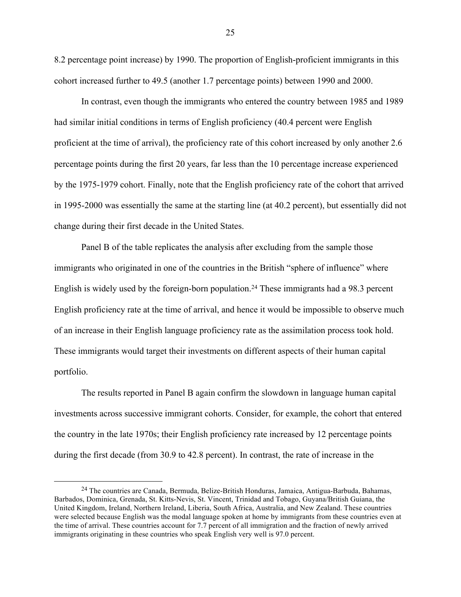8.2 percentage point increase) by 1990. The proportion of English-proficient immigrants in this cohort increased further to 49.5 (another 1.7 percentage points) between 1990 and 2000.

In contrast, even though the immigrants who entered the country between 1985 and 1989 had similar initial conditions in terms of English proficiency (40.4 percent were English proficient at the time of arrival), the proficiency rate of this cohort increased by only another 2.6 percentage points during the first 20 years, far less than the 10 percentage increase experienced by the 1975-1979 cohort. Finally, note that the English proficiency rate of the cohort that arrived in 1995-2000 was essentially the same at the starting line (at 40.2 percent), but essentially did not change during their first decade in the United States.

Panel B of the table replicates the analysis after excluding from the sample those immigrants who originated in one of the countries in the British "sphere of influence" where English is widely used by the foreign-born population.<sup>24</sup> These immigrants had a 98.3 percent English proficiency rate at the time of arrival, and hence it would be impossible to observe much of an increase in their English language proficiency rate as the assimilation process took hold. These immigrants would target their investments on different aspects of their human capital portfolio.

The results reported in Panel B again confirm the slowdown in language human capital investments across successive immigrant cohorts. Consider, for example, the cohort that entered the country in the late 1970s; their English proficiency rate increased by 12 percentage points during the first decade (from 30.9 to 42.8 percent). In contrast, the rate of increase in the

 <sup>24</sup> The countries are Canada, Bermuda, Belize-British Honduras, Jamaica, Antigua-Barbuda, Bahamas, Barbados, Dominica, Grenada, St. Kitts-Nevis, St. Vincent, Trinidad and Tobago, Guyana/British Guiana, the United Kingdom, Ireland, Northern Ireland, Liberia, South Africa, Australia, and New Zealand. These countries were selected because English was the modal language spoken at home by immigrants from these countries even at the time of arrival. These countries account for 7.7 percent of all immigration and the fraction of newly arrived immigrants originating in these countries who speak English very well is 97.0 percent.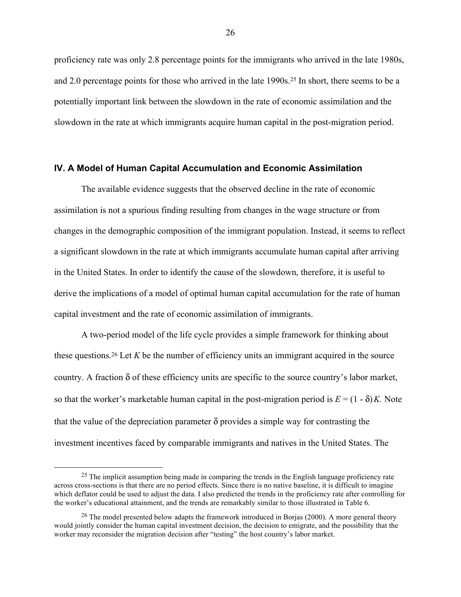proficiency rate was only 2.8 percentage points for the immigrants who arrived in the late 1980s, and 2.0 percentage points for those who arrived in the late 1990s.25 In short, there seems to be a potentially important link between the slowdown in the rate of economic assimilation and the slowdown in the rate at which immigrants acquire human capital in the post-migration period.

#### **IV. A Model of Human Capital Accumulation and Economic Assimilation**

The available evidence suggests that the observed decline in the rate of economic assimilation is not a spurious finding resulting from changes in the wage structure or from changes in the demographic composition of the immigrant population. Instead, it seems to reflect a significant slowdown in the rate at which immigrants accumulate human capital after arriving in the United States. In order to identify the cause of the slowdown, therefore, it is useful to derive the implications of a model of optimal human capital accumulation for the rate of human capital investment and the rate of economic assimilation of immigrants.

A two-period model of the life cycle provides a simple framework for thinking about these questions. <sup>26</sup> Let *K* be the number of efficiency units an immigrant acquired in the source country. A fraction  $\delta$  of these efficiency units are specific to the source country's labor market, so that the worker's marketable human capital in the post-migration period is  $E = (1 - \delta)K$ . Note that the value of the depreciation parameter  $\delta$  provides a simple way for contrasting the investment incentives faced by comparable immigrants and natives in the United States. The

<sup>&</sup>lt;sup>25</sup> The implicit assumption being made in comparing the trends in the English language proficiency rate across cross-sections is that there are no period effects. Since there is no native baseline, it is difficult to imagine which deflator could be used to adjust the data. I also predicted the trends in the proficiency rate after controlling for the worker's educational attainment, and the trends are remarkably similar to those illustrated in Table 6.

<sup>&</sup>lt;sup>26</sup> The model presented below adapts the framework introduced in Borjas (2000). A more general theory would jointly consider the human capital investment decision, the decision to emigrate, and the possibility that the worker may reconsider the migration decision after "testing" the host country's labor market.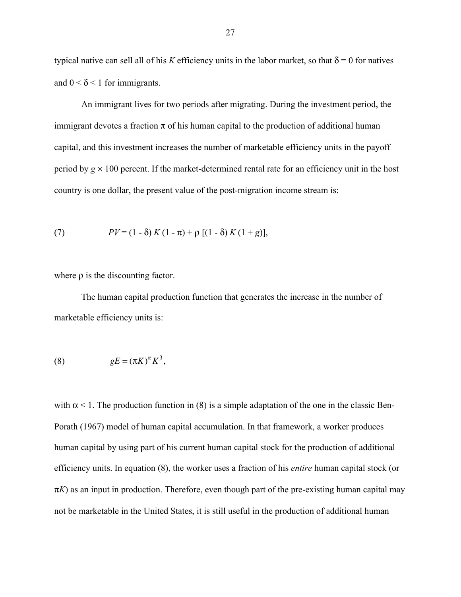typical native can sell all of his *K* efficiency units in the labor market, so that  $\delta = 0$  for natives and  $0 < \delta < 1$  for immigrants.

An immigrant lives for two periods after migrating. During the investment period, the immigrant devotes a fraction  $\pi$  of his human capital to the production of additional human capital, and this investment increases the number of marketable efficiency units in the payoff period by  $g \times 100$  percent. If the market-determined rental rate for an efficiency unit in the host country is one dollar, the present value of the post-migration income stream is:

(7) 
$$
PV = (1 - \delta) K (1 - \pi) + \rho [(1 - \delta) K (1 + g)],
$$

where ρ is the discounting factor.

The human capital production function that generates the increase in the number of marketable efficiency units is:

(8) 
$$
gE = (\pi K)^{\alpha} K^{\beta},
$$

with  $\alpha$  < 1. The production function in (8) is a simple adaptation of the one in the classic Ben-Porath (1967) model of human capital accumulation. In that framework, a worker produces human capital by using part of his current human capital stock for the production of additional efficiency units. In equation (8), the worker uses a fraction of his *entire* human capital stock (or  $\pi K$ ) as an input in production. Therefore, even though part of the pre-existing human capital may not be marketable in the United States, it is still useful in the production of additional human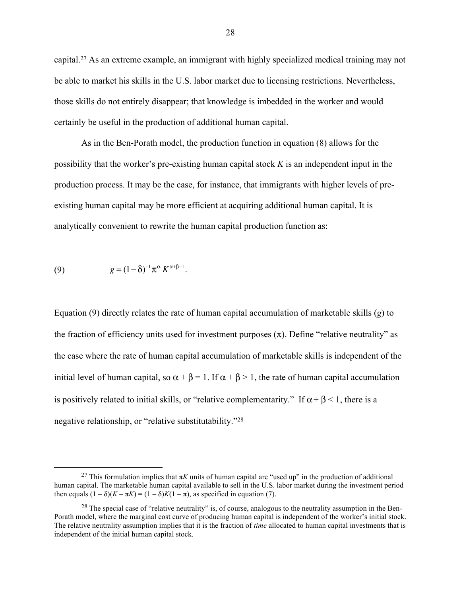capital.27 As an extreme example, an immigrant with highly specialized medical training may not be able to market his skills in the U.S. labor market due to licensing restrictions. Nevertheless, those skills do not entirely disappear; that knowledge is imbedded in the worker and would certainly be useful in the production of additional human capital.

As in the Ben-Porath model, the production function in equation (8) allows for the possibility that the worker's pre-existing human capital stock *K* is an independent input in the production process. It may be the case, for instance, that immigrants with higher levels of preexisting human capital may be more efficient at acquiring additional human capital. It is analytically convenient to rewrite the human capital production function as:

(9) 
$$
g = (1 - \delta)^{-1} \pi^{\alpha} K^{\alpha + \beta - 1}.
$$

Equation (9) directly relates the rate of human capital accumulation of marketable skills (*g*) to the fraction of efficiency units used for investment purposes  $(\pi)$ . Define "relative neutrality" as the case where the rate of human capital accumulation of marketable skills is independent of the initial level of human capital, so  $\alpha + \beta = 1$ . If  $\alpha + \beta > 1$ , the rate of human capital accumulation is positively related to initial skills, or "relative complementarity." If  $\alpha + \beta < 1$ , there is a negative relationship, or "relative substitutability."28

<sup>&</sup>lt;sup>27</sup> This formulation implies that  $\pi K$  units of human capital are "used up" in the production of additional human capital. The marketable human capital available to sell in the U.S. labor market during the investment period then equals  $(1 - \delta)(K - \pi K) = (1 - \delta)K(1 - \pi)$ , as specified in equation (7).

<sup>&</sup>lt;sup>28</sup> The special case of "relative neutrality" is, of course, analogous to the neutrality assumption in the Ben-Porath model, where the marginal cost curve of producing human capital is independent of the worker's initial stock. The relative neutrality assumption implies that it is the fraction of *time* allocated to human capital investments that is independent of the initial human capital stock.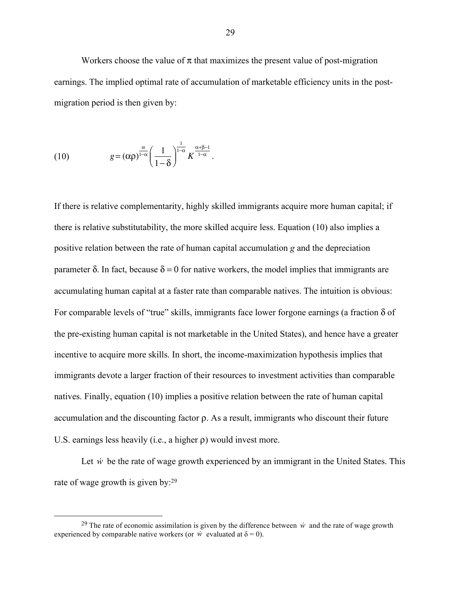Workers choose the value of  $\pi$  that maximizes the present value of post-migration earnings. The implied optimal rate of accumulation of marketable efficiency units in the postmigration period is then given by:

(10) 
$$
g = (\alpha \rho)^{\frac{\alpha}{1-\alpha}} \left( \frac{1}{1-\delta} \right)^{\frac{1}{1-\alpha}} K^{\frac{\alpha+\beta-1}{1-\alpha}}.
$$

If there is relative complementarity, highly skilled immigrants acquire more human capital; if there is relative substitutability, the more skilled acquire less. Equation (10) also implies a positive relation between the rate of human capital accumulation *g* and the depreciation parameter δ. In fact, because  $δ = 0$  for native workers, the model implies that immigrants are accumulating human capital at a faster rate than comparable natives. The intuition is obvious: For comparable levels of "true" skills, immigrants face lower forgone earnings (a fraction δ of the pre-existing human capital is not marketable in the United States), and hence have a greater incentive to acquire more skills. In short, the income-maximization hypothesis implies that immigrants devote a larger fraction of their resources to investment activities than comparable natives. Finally, equation (10) implies a positive relation between the rate of human capital accumulation and the discounting factor ρ. As a result, immigrants who discount their future U.S. earnings less heavily (i.e., a higher ρ) would invest more.

Let  $\dot{w}$  be the rate of wage growth experienced by an immigrant in the United States. This rate of wage growth is given by:29

<sup>&</sup>lt;sup>29</sup> The rate of economic assimilation is given by the difference between  $\dot{w}$  and the rate of wage growth experienced by comparable native workers (or  $\dot{w}$  evaluated at  $\delta = 0$ ).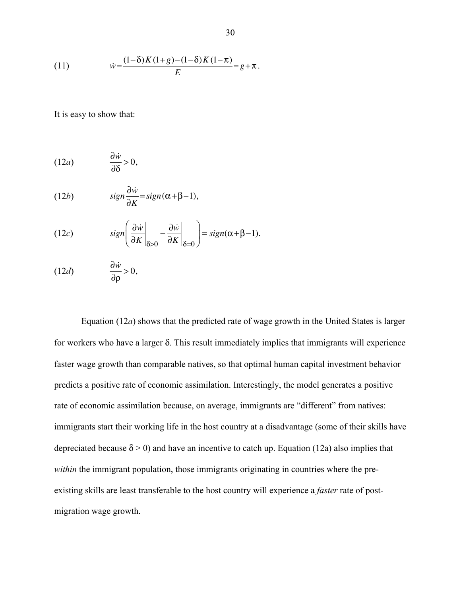(11) 
$$
\dot{w} = \frac{(1-\delta)K(1+g)-(1-\delta)K(1-\pi)}{E} = g + \pi.
$$

It is easy to show that:

$$
(12a) \qquad \qquad \frac{\partial \dot{w}}{\partial \delta} > 0,
$$

(12*b*) 
$$
sign \frac{\partial \dot{w}}{\partial K} = sign(\alpha + \beta - 1),
$$

(12c) 
$$
sign\left(\frac{\partial \dot{w}}{\partial K}\bigg|_{\delta>0} - \frac{\partial \dot{w}}{\partial K}\bigg|_{\delta=0}\right) = sign(\alpha + \beta - 1).
$$

$$
(12d) \qquad \qquad \frac{\partial \dot{w}}{\partial \rho} > 0,
$$

Equation (12*a*) shows that the predicted rate of wage growth in the United States is larger for workers who have a larger δ. This result immediately implies that immigrants will experience faster wage growth than comparable natives, so that optimal human capital investment behavior predicts a positive rate of economic assimilation. Interestingly, the model generates a positive rate of economic assimilation because, on average, immigrants are "different" from natives: immigrants start their working life in the host country at a disadvantage (some of their skills have depreciated because  $\delta$  > 0) and have an incentive to catch up. Equation (12a) also implies that *within* the immigrant population, those immigrants originating in countries where the preexisting skills are least transferable to the host country will experience a *faster* rate of postmigration wage growth.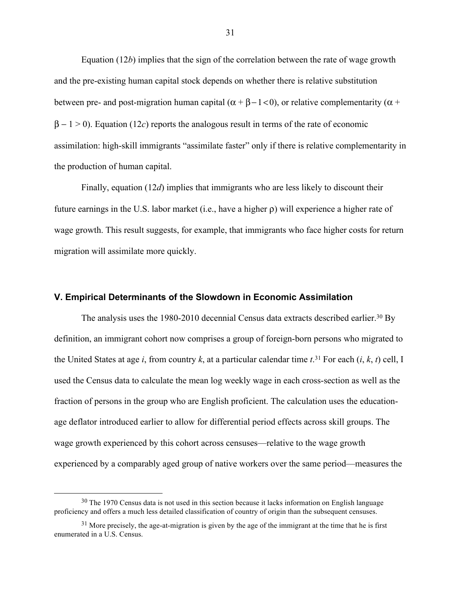Equation (12*b*) implies that the sign of the correlation between the rate of wage growth and the pre-existing human capital stock depends on whether there is relative substitution between pre- and post-migration human capital ( $\alpha + \beta - 1 < 0$ ), or relative complementarity ( $\alpha$  +  $\beta - 1 > 0$ ). Equation (12*c*) reports the analogous result in terms of the rate of economic assimilation: high-skill immigrants "assimilate faster" only if there is relative complementarity in the production of human capital.

Finally, equation (12*d*) implies that immigrants who are less likely to discount their future earnings in the U.S. labor market (i.e., have a higher ρ) will experience a higher rate of wage growth. This result suggests, for example, that immigrants who face higher costs for return migration will assimilate more quickly.

#### **V. Empirical Determinants of the Slowdown in Economic Assimilation**

The analysis uses the 1980-2010 decennial Census data extracts described earlier.<sup>30</sup> By definition, an immigrant cohort now comprises a group of foreign-born persons who migrated to the United States at age *i*, from country *k*, at a particular calendar time *t*. <sup>31</sup> For each (*i*, *k*, *t*) cell, I used the Census data to calculate the mean log weekly wage in each cross-section as well as the fraction of persons in the group who are English proficient. The calculation uses the educationage deflator introduced earlier to allow for differential period effects across skill groups. The wage growth experienced by this cohort across censuses—relative to the wage growth experienced by a comparably aged group of native workers over the same period—measures the

<sup>&</sup>lt;sup>30</sup> The 1970 Census data is not used in this section because it lacks information on English language proficiency and offers a much less detailed classification of country of origin than the subsequent censuses.

 $31$  More precisely, the age-at-migration is given by the age of the immigrant at the time that he is first enumerated in a U.S. Census.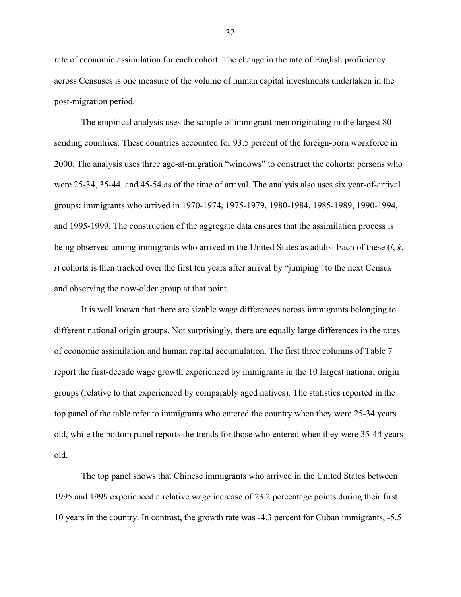rate of economic assimilation for each cohort. The change in the rate of English proficiency across Censuses is one measure of the volume of human capital investments undertaken in the post-migration period.

The empirical analysis uses the sample of immigrant men originating in the largest 80 sending countries. These countries accounted for 93.5 percent of the foreign-born workforce in 2000. The analysis uses three age-at-migration "windows" to construct the cohorts: persons who were 25-34, 35-44, and 45-54 as of the time of arrival. The analysis also uses six year-of-arrival groups: immigrants who arrived in 1970-1974, 1975-1979, 1980-1984, 1985-1989, 1990-1994, and 1995-1999. The construction of the aggregate data ensures that the assimilation process is being observed among immigrants who arrived in the United States as adults. Each of these (*i*, *k*, *t*) cohorts is then tracked over the first ten years after arrival by "jumping" to the next Census and observing the now-older group at that point.

It is well known that there are sizable wage differences across immigrants belonging to different national origin groups. Not surprisingly, there are equally large differences in the rates of economic assimilation and human capital accumulation. The first three columns of Table 7 report the first-decade wage growth experienced by immigrants in the 10 largest national origin groups (relative to that experienced by comparably aged natives). The statistics reported in the top panel of the table refer to immigrants who entered the country when they were 25-34 years old, while the bottom panel reports the trends for those who entered when they were 35-44 years old.

The top panel shows that Chinese immigrants who arrived in the United States between 1995 and 1999 experienced a relative wage increase of 23.2 percentage points during their first 10 years in the country. In contrast, the growth rate was -4.3 percent for Cuban immigrants, -5.5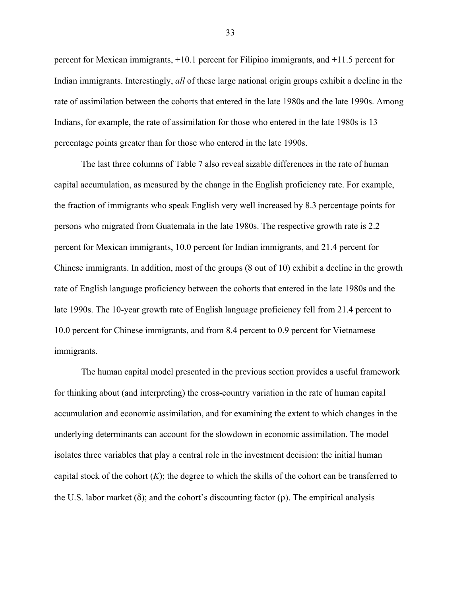percent for Mexican immigrants, +10.1 percent for Filipino immigrants, and +11.5 percent for Indian immigrants. Interestingly, *all* of these large national origin groups exhibit a decline in the rate of assimilation between the cohorts that entered in the late 1980s and the late 1990s. Among Indians, for example, the rate of assimilation for those who entered in the late 1980s is 13 percentage points greater than for those who entered in the late 1990s.

The last three columns of Table 7 also reveal sizable differences in the rate of human capital accumulation, as measured by the change in the English proficiency rate. For example, the fraction of immigrants who speak English very well increased by 8.3 percentage points for persons who migrated from Guatemala in the late 1980s. The respective growth rate is 2.2 percent for Mexican immigrants, 10.0 percent for Indian immigrants, and 21.4 percent for Chinese immigrants. In addition, most of the groups (8 out of 10) exhibit a decline in the growth rate of English language proficiency between the cohorts that entered in the late 1980s and the late 1990s. The 10-year growth rate of English language proficiency fell from 21.4 percent to 10.0 percent for Chinese immigrants, and from 8.4 percent to 0.9 percent for Vietnamese immigrants.

The human capital model presented in the previous section provides a useful framework for thinking about (and interpreting) the cross-country variation in the rate of human capital accumulation and economic assimilation, and for examining the extent to which changes in the underlying determinants can account for the slowdown in economic assimilation. The model isolates three variables that play a central role in the investment decision: the initial human capital stock of the cohort (*K*); the degree to which the skills of the cohort can be transferred to the U.S. labor market ( $\delta$ ); and the cohort's discounting factor ( $\rho$ ). The empirical analysis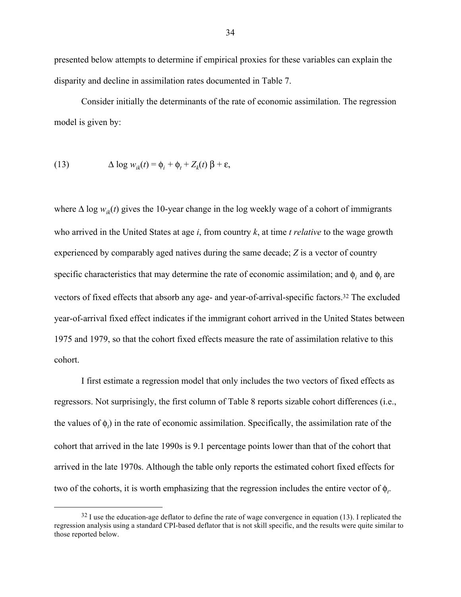presented below attempts to determine if empirical proxies for these variables can explain the disparity and decline in assimilation rates documented in Table 7.

Consider initially the determinants of the rate of economic assimilation. The regression model is given by:

(13) 
$$
\Delta \log w_{ik}(t) = \phi_i + \phi_t + Z_k(t) \beta + \varepsilon,
$$

where  $\Delta \log w_{ik}(t)$  gives the 10-year change in the log weekly wage of a cohort of immigrants who arrived in the United States at age *i*, from country *k*, at time *t relative* to the wage growth experienced by comparably aged natives during the same decade; *Z* is a vector of country specific characteristics that may determine the rate of economic assimilation; and  $\phi_i$  and  $\phi_t$  are vectors of fixed effects that absorb any age- and year-of-arrival-specific factors.32 The excluded year-of-arrival fixed effect indicates if the immigrant cohort arrived in the United States between 1975 and 1979, so that the cohort fixed effects measure the rate of assimilation relative to this cohort.

I first estimate a regression model that only includes the two vectors of fixed effects as regressors. Not surprisingly, the first column of Table 8 reports sizable cohort differences (i.e., the values of  $\phi_t$ ) in the rate of economic assimilation. Specifically, the assimilation rate of the cohort that arrived in the late 1990s is 9.1 percentage points lower than that of the cohort that arrived in the late 1970s. Although the table only reports the estimated cohort fixed effects for two of the cohorts, it is worth emphasizing that the regression includes the entire vector of  $\phi_t$ .

 $32$  I use the education-age deflator to define the rate of wage convergence in equation (13). I replicated the regression analysis using a standard CPI-based deflator that is not skill specific, and the results were quite similar to those reported below.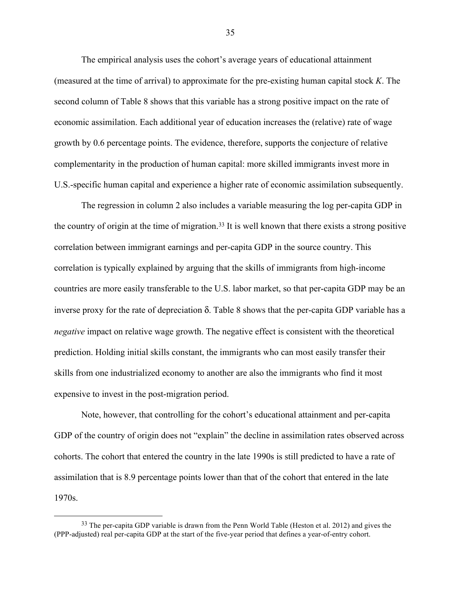The empirical analysis uses the cohort's average years of educational attainment (measured at the time of arrival) to approximate for the pre-existing human capital stock *K*. The second column of Table 8 shows that this variable has a strong positive impact on the rate of economic assimilation. Each additional year of education increases the (relative) rate of wage growth by 0.6 percentage points. The evidence, therefore, supports the conjecture of relative complementarity in the production of human capital: more skilled immigrants invest more in U.S.-specific human capital and experience a higher rate of economic assimilation subsequently.

The regression in column 2 also includes a variable measuring the log per-capita GDP in the country of origin at the time of migration.33 It is well known that there exists a strong positive correlation between immigrant earnings and per-capita GDP in the source country. This correlation is typically explained by arguing that the skills of immigrants from high-income countries are more easily transferable to the U.S. labor market, so that per-capita GDP may be an inverse proxy for the rate of depreciation δ. Table 8 shows that the per-capita GDP variable has a *negative* impact on relative wage growth. The negative effect is consistent with the theoretical prediction. Holding initial skills constant, the immigrants who can most easily transfer their skills from one industrialized economy to another are also the immigrants who find it most expensive to invest in the post-migration period.

Note, however, that controlling for the cohort's educational attainment and per-capita GDP of the country of origin does not "explain" the decline in assimilation rates observed across cohorts. The cohort that entered the country in the late 1990s is still predicted to have a rate of assimilation that is 8.9 percentage points lower than that of the cohort that entered in the late 1970s.

<sup>&</sup>lt;sup>33</sup> The per-capita GDP variable is drawn from the Penn World Table (Heston et al. 2012) and gives the (PPP-adjusted) real per-capita GDP at the start of the five-year period that defines a year-of-entry cohort.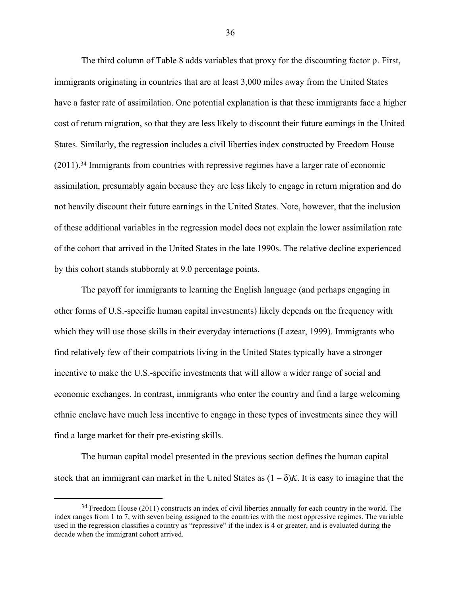The third column of Table 8 adds variables that proxy for the discounting factor ρ. First, immigrants originating in countries that are at least 3,000 miles away from the United States have a faster rate of assimilation. One potential explanation is that these immigrants face a higher cost of return migration, so that they are less likely to discount their future earnings in the United States. Similarly, the regression includes a civil liberties index constructed by Freedom House (2011).34 Immigrants from countries with repressive regimes have a larger rate of economic assimilation, presumably again because they are less likely to engage in return migration and do not heavily discount their future earnings in the United States. Note, however, that the inclusion of these additional variables in the regression model does not explain the lower assimilation rate of the cohort that arrived in the United States in the late 1990s. The relative decline experienced by this cohort stands stubbornly at 9.0 percentage points.

The payoff for immigrants to learning the English language (and perhaps engaging in other forms of U.S.-specific human capital investments) likely depends on the frequency with which they will use those skills in their everyday interactions (Lazear, 1999). Immigrants who find relatively few of their compatriots living in the United States typically have a stronger incentive to make the U.S.-specific investments that will allow a wider range of social and economic exchanges. In contrast, immigrants who enter the country and find a large welcoming ethnic enclave have much less incentive to engage in these types of investments since they will find a large market for their pre-existing skills.

The human capital model presented in the previous section defines the human capital stock that an immigrant can market in the United States as  $(1 - \delta)K$ . It is easy to imagine that the

 $34$  Freedom House (2011) constructs an index of civil liberties annually for each country in the world. The index ranges from 1 to 7, with seven being assigned to the countries with the most oppressive regimes. The variable used in the regression classifies a country as "repressive" if the index is 4 or greater, and is evaluated during the decade when the immigrant cohort arrived.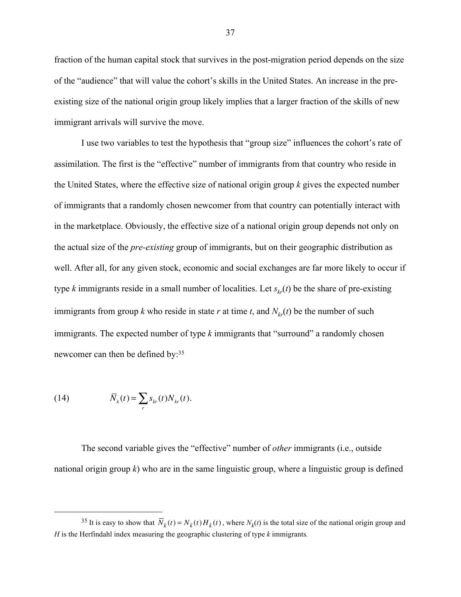fraction of the human capital stock that survives in the post-migration period depends on the size of the "audience" that will value the cohort's skills in the United States. An increase in the preexisting size of the national origin group likely implies that a larger fraction of the skills of new immigrant arrivals will survive the move.

I use two variables to test the hypothesis that "group size" influences the cohort's rate of assimilation. The first is the "effective" number of immigrants from that country who reside in the United States, where the effective size of national origin group *k* gives the expected number of immigrants that a randomly chosen newcomer from that country can potentially interact with in the marketplace. Obviously, the effective size of a national origin group depends not only on the actual size of the *pre-existing* group of immigrants, but on their geographic distribution as well. After all, for any given stock, economic and social exchanges are far more likely to occur if type *k* immigrants reside in a small number of localities. Let  $s_{kr}(t)$  be the share of pre-existing immigrants from group *k* who reside in state *r* at time *t*, and  $N_{kr}(t)$  be the number of such immigrants. The expected number of type *k* immigrants that "surround" a randomly chosen newcomer can then be defined by:35

(14) 
$$
\overline{N}_k(t) = \sum_r s_{kr}(t) N_{kr}(t).
$$

The second variable gives the "effective" number of *other* immigrants (i.e., outside national origin group  $k$ ) who are in the same linguistic group, where a linguistic group is defined

<sup>&</sup>lt;sup>35</sup> It is easy to show that  $\overline{N}_k(t) = N_k(t)H_k(t)$ , where  $N_k(t)$  is the total size of the national origin group and *H* is the Herfindahl index measuring the geographic clustering of type *k* immigrants*.*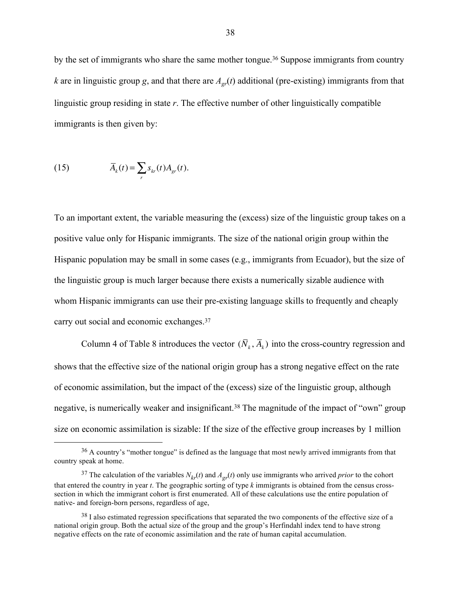by the set of immigrants who share the same mother tongue.<sup>36</sup> Suppose immigrants from country *k* are in linguistic group *g*, and that there are  $A_{gr}(t)$  additional (pre-existing) immigrants from that linguistic group residing in state *r*. The effective number of other linguistically compatible immigrants is then given by:

(15) 
$$
\overline{A}_k(t) = \sum_r s_{kr}(t) A_{gr}(t).
$$

To an important extent, the variable measuring the (excess) size of the linguistic group takes on a positive value only for Hispanic immigrants. The size of the national origin group within the Hispanic population may be small in some cases (e.g., immigrants from Ecuador), but the size of the linguistic group is much larger because there exists a numerically sizable audience with whom Hispanic immigrants can use their pre-existing language skills to frequently and cheaply carry out social and economic exchanges.37

Column 4 of Table 8 introduces the vector  $(\overline{N}_k, \overline{A}_k)$  into the cross-country regression and shows that the effective size of the national origin group has a strong negative effect on the rate of economic assimilation, but the impact of the (excess) size of the linguistic group, although negative, is numerically weaker and insignificant.<sup>38</sup> The magnitude of the impact of "own" group size on economic assimilation is sizable: If the size of the effective group increases by 1 million

 <sup>36</sup> A country's "mother tongue" is defined as the language that most newly arrived immigrants from that country speak at home.

<sup>&</sup>lt;sup>37</sup> The calculation of the variables  $N_{kr}(t)$  and  $A_{gr}(t)$  only use immigrants who arrived *prior* to the cohort that entered the country in year *t*. The geographic sorting of type *k* immigrants is obtained from the census crosssection in which the immigrant cohort is first enumerated. All of these calculations use the entire population of native- and foreign-born persons, regardless of age,

<sup>&</sup>lt;sup>38</sup> I also estimated regression specifications that separated the two components of the effective size of a national origin group. Both the actual size of the group and the group's Herfindahl index tend to have strong negative effects on the rate of economic assimilation and the rate of human capital accumulation.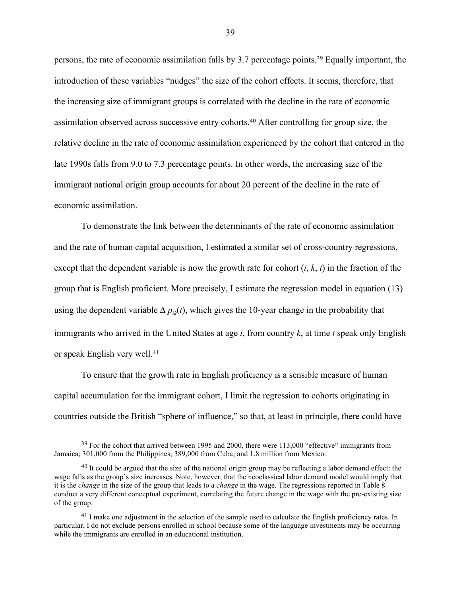persons, the rate of economic assimilation falls by 3.7 percentage points.39 Equally important, the introduction of these variables "nudges" the size of the cohort effects. It seems, therefore, that the increasing size of immigrant groups is correlated with the decline in the rate of economic assimilation observed across successive entry cohorts. <sup>40</sup> After controlling for group size, the relative decline in the rate of economic assimilation experienced by the cohort that entered in the late 1990s falls from 9.0 to 7.3 percentage points. In other words, the increasing size of the immigrant national origin group accounts for about 20 percent of the decline in the rate of economic assimilation.

To demonstrate the link between the determinants of the rate of economic assimilation and the rate of human capital acquisition, I estimated a similar set of cross-country regressions, except that the dependent variable is now the growth rate for cohort (*i*, *k*, *t*) in the fraction of the group that is English proficient. More precisely, I estimate the regression model in equation (13) using the dependent variable  $\Delta p_{ik}(t)$ , which gives the 10-year change in the probability that immigrants who arrived in the United States at age *i*, from country *k*, at time *t* speak only English or speak English very well.41

To ensure that the growth rate in English proficiency is a sensible measure of human capital accumulation for the immigrant cohort, I limit the regression to cohorts originating in countries outside the British "sphere of influence," so that, at least in principle, there could have

 $39$  For the cohort that arrived between 1995 and 2000, there were 113,000 "effective" immigrants from Jamaica; 301,000 from the Philippines; 389,000 from Cuba; and 1.8 million from Mexico.

<sup>&</sup>lt;sup>40</sup> It could be argued that the size of the national origin group may be reflecting a labor demand effect: the wage falls as the group's size increases. Note, however, that the neoclassical labor demand model would imply that it is the *change* in the size of the group that leads to a *change* in the wage. The regressions reported in Table 8 conduct a very different conceptual experiment, correlating the future change in the wage with the pre-existing size of the group.

<sup>&</sup>lt;sup>41</sup> I make one adjustment in the selection of the sample used to calculate the English proficiency rates. In particular, I do not exclude persons enrolled in school because some of the language investments may be occurring while the immigrants are enrolled in an educational institution.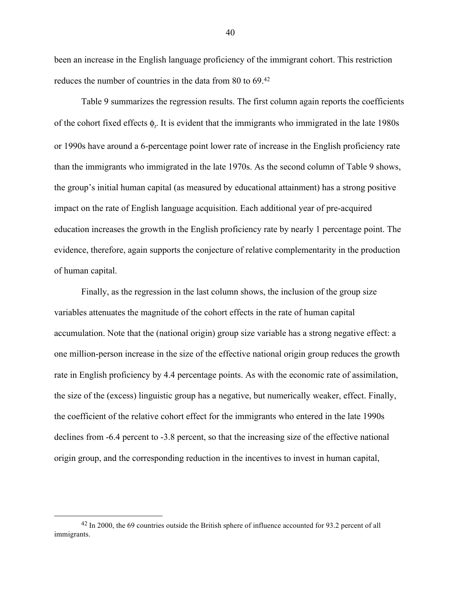been an increase in the English language proficiency of the immigrant cohort. This restriction reduces the number of countries in the data from 80 to 69. 42

Table 9 summarizes the regression results. The first column again reports the coefficients of the cohort fixed effects  $\phi_t$ . It is evident that the immigrants who immigrated in the late 1980s or 1990s have around a 6-percentage point lower rate of increase in the English proficiency rate than the immigrants who immigrated in the late 1970s. As the second column of Table 9 shows, the group's initial human capital (as measured by educational attainment) has a strong positive impact on the rate of English language acquisition. Each additional year of pre-acquired education increases the growth in the English proficiency rate by nearly 1 percentage point. The evidence, therefore, again supports the conjecture of relative complementarity in the production of human capital.

Finally, as the regression in the last column shows, the inclusion of the group size variables attenuates the magnitude of the cohort effects in the rate of human capital accumulation. Note that the (national origin) group size variable has a strong negative effect: a one million-person increase in the size of the effective national origin group reduces the growth rate in English proficiency by 4.4 percentage points. As with the economic rate of assimilation, the size of the (excess) linguistic group has a negative, but numerically weaker, effect. Finally, the coefficient of the relative cohort effect for the immigrants who entered in the late 1990s declines from -6.4 percent to -3.8 percent, so that the increasing size of the effective national origin group, and the corresponding reduction in the incentives to invest in human capital,

 <sup>42</sup> In 2000, the 69 countries outside the British sphere of influence accounted for 93.2 percent of all immigrants.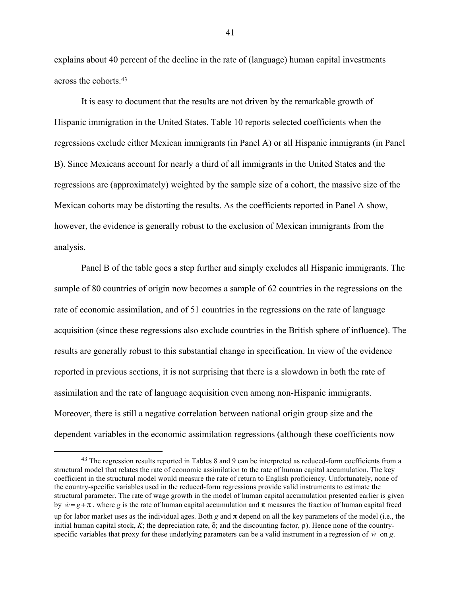explains about 40 percent of the decline in the rate of (language) human capital investments across the cohorts.43

It is easy to document that the results are not driven by the remarkable growth of Hispanic immigration in the United States. Table 10 reports selected coefficients when the regressions exclude either Mexican immigrants (in Panel A) or all Hispanic immigrants (in Panel B). Since Mexicans account for nearly a third of all immigrants in the United States and the regressions are (approximately) weighted by the sample size of a cohort, the massive size of the Mexican cohorts may be distorting the results. As the coefficients reported in Panel A show, however, the evidence is generally robust to the exclusion of Mexican immigrants from the analysis.

Panel B of the table goes a step further and simply excludes all Hispanic immigrants. The sample of 80 countries of origin now becomes a sample of 62 countries in the regressions on the rate of economic assimilation, and of 51 countries in the regressions on the rate of language acquisition (since these regressions also exclude countries in the British sphere of influence). The results are generally robust to this substantial change in specification. In view of the evidence reported in previous sections, it is not surprising that there is a slowdown in both the rate of assimilation and the rate of language acquisition even among non-Hispanic immigrants. Moreover, there is still a negative correlation between national origin group size and the dependent variables in the economic assimilation regressions (although these coefficients now

<sup>&</sup>lt;sup>43</sup> The regression results reported in Tables 8 and 9 can be interpreted as reduced-form coefficients from a structural model that relates the rate of economic assimilation to the rate of human capital accumulation. The key coefficient in the structural model would measure the rate of return to English proficiency. Unfortunately, none of the country-specific variables used in the reduced-form regressions provide valid instruments to estimate the structural parameter. The rate of wage growth in the model of human capital accumulation presented earlier is given by  $\dot{w} = g + \pi$ , where g is the rate of human capital accumulation and  $\pi$  measures the fraction of human capital freed

up for labor market uses as the individual ages. Both  $g$  and  $\pi$  depend on all the key parameters of the model (i.e., the initial human capital stock, *K*; the depreciation rate, δ; and the discounting factor, ρ). Hence none of the countryspecific variables that proxy for these underlying parameters can be a valid instrument in a regression of  $\dot{w}$  on  $g$ .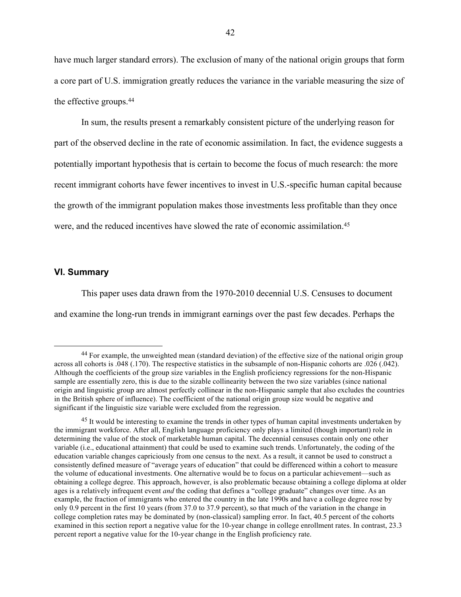have much larger standard errors). The exclusion of many of the national origin groups that form a core part of U.S. immigration greatly reduces the variance in the variable measuring the size of the effective groups.44

In sum, the results present a remarkably consistent picture of the underlying reason for part of the observed decline in the rate of economic assimilation. In fact, the evidence suggests a potentially important hypothesis that is certain to become the focus of much research: the more recent immigrant cohorts have fewer incentives to invest in U.S.-specific human capital because the growth of the immigrant population makes those investments less profitable than they once were, and the reduced incentives have slowed the rate of economic assimilation.45

#### **VI. Summary**

This paper uses data drawn from the 1970-2010 decennial U.S. Censuses to document and examine the long-run trends in immigrant earnings over the past few decades. Perhaps the

 <sup>44</sup> For example, the unweighted mean (standard deviation) of the effective size of the national origin group across all cohorts is .048 (.170). The respective statistics in the subsample of non-Hispanic cohorts are .026 (.042). Although the coefficients of the group size variables in the English proficiency regressions for the non-Hispanic sample are essentially zero, this is due to the sizable collinearity between the two size variables (since national origin and linguistic group are almost perfectly collinear in the non-Hispanic sample that also excludes the countries in the British sphere of influence). The coefficient of the national origin group size would be negative and significant if the linguistic size variable were excluded from the regression.

<sup>&</sup>lt;sup>45</sup> It would be interesting to examine the trends in other types of human capital investments undertaken by the immigrant workforce. After all, English language proficiency only plays a limited (though important) role in determining the value of the stock of marketable human capital. The decennial censuses contain only one other variable (i.e., educational attainment) that could be used to examine such trends. Unfortunately, the coding of the education variable changes capriciously from one census to the next. As a result, it cannot be used to construct a consistently defined measure of "average years of education" that could be differenced within a cohort to measure the volume of educational investments. One alternative would be to focus on a particular achievement—such as obtaining a college degree. This approach, however, is also problematic because obtaining a college diploma at older ages is a relatively infrequent event *and* the coding that defines a "college graduate" changes over time. As an example, the fraction of immigrants who entered the country in the late 1990s and have a college degree rose by only 0.9 percent in the first 10 years (from 37.0 to 37.9 percent), so that much of the variation in the change in college completion rates may be dominated by (non-classical) sampling error. In fact, 40.5 percent of the cohorts examined in this section report a negative value for the 10-year change in college enrollment rates. In contrast, 23.3 percent report a negative value for the 10-year change in the English proficiency rate.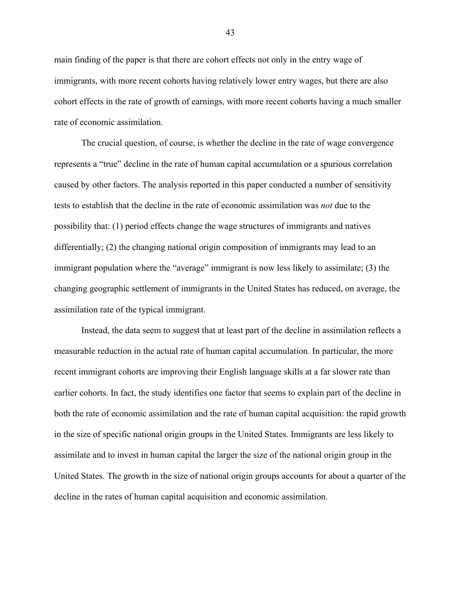main finding of the paper is that there are cohort effects not only in the entry wage of immigrants, with more recent cohorts having relatively lower entry wages, but there are also cohort effects in the rate of growth of earnings, with more recent cohorts having a much smaller rate of economic assimilation.

The crucial question, of course, is whether the decline in the rate of wage convergence represents a "true" decline in the rate of human capital accumulation or a spurious correlation caused by other factors. The analysis reported in this paper conducted a number of sensitivity tests to establish that the decline in the rate of economic assimilation was *not* due to the possibility that: (1) period effects change the wage structures of immigrants and natives differentially; (2) the changing national origin composition of immigrants may lead to an immigrant population where the "average" immigrant is now less likely to assimilate; (3) the changing geographic settlement of immigrants in the United States has reduced, on average, the assimilation rate of the typical immigrant.

Instead, the data seem to suggest that at least part of the decline in assimilation reflects a measurable reduction in the actual rate of human capital accumulation. In particular, the more recent immigrant cohorts are improving their English language skills at a far slower rate than earlier cohorts. In fact, the study identifies one factor that seems to explain part of the decline in both the rate of economic assimilation and the rate of human capital acquisition: the rapid growth in the size of specific national origin groups in the United States. Immigrants are less likely to assimilate and to invest in human capital the larger the size of the national origin group in the United States. The growth in the size of national origin groups accounts for about a quarter of the decline in the rates of human capital acquisition and economic assimilation.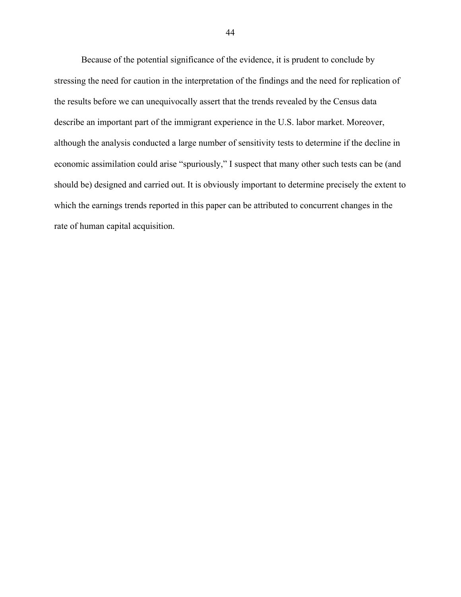Because of the potential significance of the evidence, it is prudent to conclude by stressing the need for caution in the interpretation of the findings and the need for replication of the results before we can unequivocally assert that the trends revealed by the Census data describe an important part of the immigrant experience in the U.S. labor market. Moreover, although the analysis conducted a large number of sensitivity tests to determine if the decline in economic assimilation could arise "spuriously," I suspect that many other such tests can be (and should be) designed and carried out. It is obviously important to determine precisely the extent to which the earnings trends reported in this paper can be attributed to concurrent changes in the rate of human capital acquisition.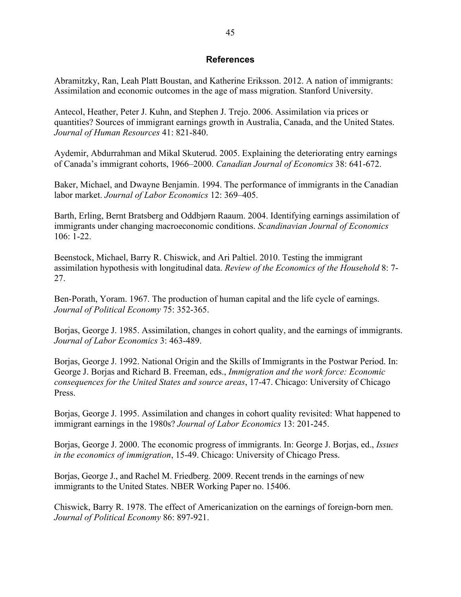## **References**

Abramitzky, Ran, Leah Platt Boustan, and Katherine Eriksson. 2012. A nation of immigrants: Assimilation and economic outcomes in the age of mass migration. Stanford University.

Antecol, Heather, Peter J. Kuhn, and Stephen J. Trejo. 2006. Assimilation via prices or quantities? Sources of immigrant earnings growth in Australia, Canada, and the United States. *Journal of Human Resources* 41: 821-840.

Aydemir, Abdurrahman and Mikal Skuterud. 2005. Explaining the deteriorating entry earnings of Canada's immigrant cohorts, 1966–2000. *Canadian Journal of Economics* 38: 641-672.

Baker, Michael, and Dwayne Benjamin. 1994. The performance of immigrants in the Canadian labor market. *Journal of Labor Economics* 12: 369–405.

Barth, Erling, Bernt Bratsberg and Oddbjørn Raaum. 2004. Identifying earnings assimilation of immigrants under changing macroeconomic conditions. *Scandinavian Journal of Economics* 106: 1-22.

Beenstock, Michael, Barry R. Chiswick, and Ari Paltiel. 2010. Testing the immigrant assimilation hypothesis with longitudinal data. *Review of the Economics of the Household* 8: 7- 27.

Ben-Porath, Yoram. 1967. The production of human capital and the life cycle of earnings. *Journal of Political Economy* 75: 352-365.

Borjas, George J. 1985. Assimilation, changes in cohort quality, and the earnings of immigrants. *Journal of Labor Economics* 3: 463-489.

Borjas, George J. 1992. National Origin and the Skills of Immigrants in the Postwar Period. In: George J. Borjas and Richard B. Freeman, eds., *Immigration and the work force: Economic consequences for the United States and source areas*, 17-47. Chicago: University of Chicago Press.

Borjas, George J. 1995. Assimilation and changes in cohort quality revisited: What happened to immigrant earnings in the 1980s? *Journal of Labor Economics* 13: 201-245.

Borjas, George J. 2000. The economic progress of immigrants. In: George J. Borjas, ed., *Issues in the economics of immigration*, 15-49. Chicago: University of Chicago Press.

Borjas, George J., and Rachel M. Friedberg. 2009. Recent trends in the earnings of new immigrants to the United States. NBER Working Paper no. 15406.

Chiswick, Barry R. 1978. The effect of Americanization on the earnings of foreign-born men. *Journal of Political Economy* 86: 897-921.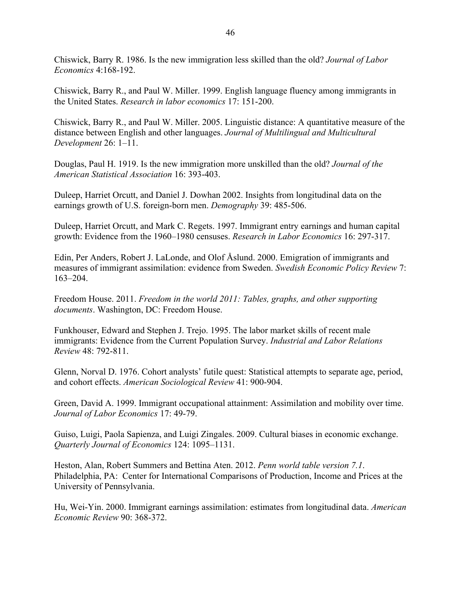Chiswick, Barry R. 1986. Is the new immigration less skilled than the old? *Journal of Labor Economics* 4:168-192.

Chiswick, Barry R., and Paul W. Miller. 1999. English language fluency among immigrants in the United States. *Research in labor economics* 17: 151-200.

Chiswick, Barry R., and Paul W. Miller. 2005. Linguistic distance: A quantitative measure of the distance between English and other languages. *Journal of Multilingual and Multicultural Development* 26: 1–11.

Douglas, Paul H. 1919. Is the new immigration more unskilled than the old? *Journal of the American Statistical Association* 16: 393-403.

Duleep, Harriet Orcutt, and Daniel J. Dowhan 2002. Insights from longitudinal data on the earnings growth of U.S. foreign-born men. *Demography* 39: 485-506.

Duleep, Harriet Orcutt, and Mark C. Regets. 1997. Immigrant entry earnings and human capital growth: Evidence from the 1960–1980 censuses. *Research in Labor Economics* 16: 297-317.

Edin, Per Anders, Robert J. LaLonde, and Olof Åslund. 2000. Emigration of immigrants and measures of immigrant assimilation: evidence from Sweden. *Swedish Economic Policy Review* 7: 163–204.

Freedom House. 2011. *Freedom in the world 2011: Tables, graphs, and other supporting documents*. Washington, DC: Freedom House.

Funkhouser, Edward and Stephen J. Trejo. 1995. The labor market skills of recent male immigrants: Evidence from the Current Population Survey. *Industrial and Labor Relations Review* 48: 792-811.

Glenn, Norval D. 1976. Cohort analysts' futile quest: Statistical attempts to separate age, period, and cohort effects. *American Sociological Review* 41: 900-904.

Green, David A. 1999. Immigrant occupational attainment: Assimilation and mobility over time. *Journal of Labor Economics* 17: 49-79.

Guiso, Luigi, Paola Sapienza, and Luigi Zingales. 2009. Cultural biases in economic exchange. *Quarterly Journal of Economics* 124: 1095–1131.

Heston, Alan, Robert Summers and Bettina Aten. 2012. *Penn world table version 7.1*. Philadelphia, PA: Center for International Comparisons of Production, Income and Prices at the University of Pennsylvania.

Hu, Wei-Yin. 2000. Immigrant earnings assimilation: estimates from longitudinal data. *American Economic Review* 90: 368-372.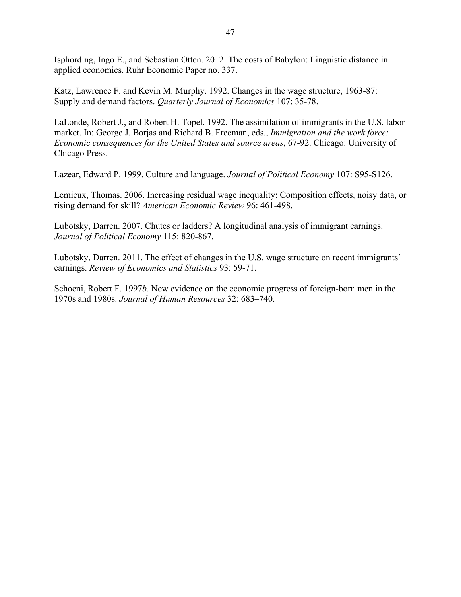Isphording, Ingo E., and Sebastian Otten. 2012. The costs of Babylon: Linguistic distance in applied economics. Ruhr Economic Paper no. 337.

Katz, Lawrence F. and Kevin M. Murphy. 1992. Changes in the wage structure, 1963-87: Supply and demand factors. *Quarterly Journal of Economics* 107: 35-78.

LaLonde, Robert J., and Robert H. Topel. 1992. The assimilation of immigrants in the U.S. labor market. In: George J. Borjas and Richard B. Freeman, eds., *Immigration and the work force: Economic consequences for the United States and source areas*, 67-92. Chicago: University of Chicago Press.

Lazear, Edward P. 1999. Culture and language. *Journal of Political Economy* 107: S95-S126.

Lemieux, Thomas. 2006. Increasing residual wage inequality: Composition effects, noisy data, or rising demand for skill? *American Economic Review* 96: 461-498.

Lubotsky, Darren. 2007. Chutes or ladders? A longitudinal analysis of immigrant earnings. *Journal of Political Economy* 115: 820-867.

Lubotsky, Darren. 2011. The effect of changes in the U.S. wage structure on recent immigrants' earnings. *Review of Economics and Statistics* 93: 59-71.

Schoeni, Robert F. 1997*b*. New evidence on the economic progress of foreign-born men in the 1970s and 1980s. *Journal of Human Resources* 32: 683–740.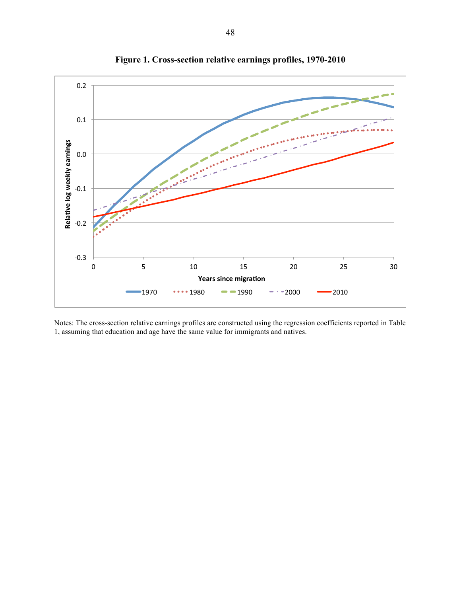

**Figure 1. Cross-section relative earnings profiles, 1970-2010**

Notes: The cross-section relative earnings profiles are constructed using the regression coefficients reported in Table 1, assuming that education and age have the same value for immigrants and natives.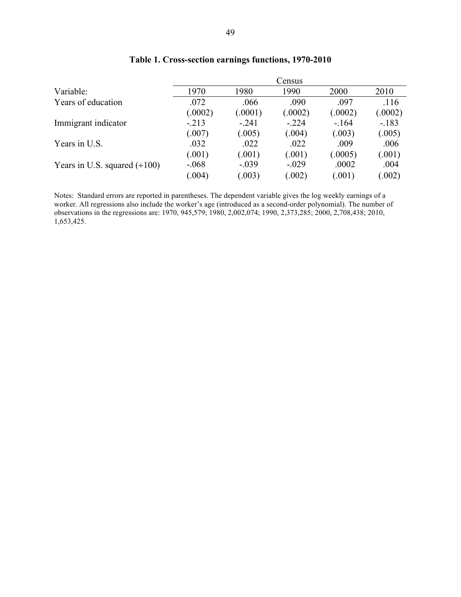|                                    | Census  |         |         |         |         |  |  |
|------------------------------------|---------|---------|---------|---------|---------|--|--|
| Variable:                          | 1970    | 1980    | 1990    | 2000    | 2010    |  |  |
| Years of education                 | .072    | .066    | .090    | .097    | .116    |  |  |
|                                    | (.0002) | (.0001) | (.0002) | (.0002) | (.0002) |  |  |
| Immigrant indicator                | $-213$  | $-.241$ | $-.224$ | $-164$  | $-.183$ |  |  |
|                                    | (.007)  | (.005)  | (.004)  | (.003)  | (.005)  |  |  |
| Years in U.S.                      | .032    | .022    | .022    | .009    | .006    |  |  |
|                                    | (.001)  | (.001)  | (.001)  | (.0005) | (.001)  |  |  |
| Years in U.S. squared $(\div 100)$ | $-.068$ | $-.039$ | $-.029$ | .0002   | .004    |  |  |
|                                    | (.004)  | (.003)  | (.002)  | (.001)  | (.002)  |  |  |

## **Table 1. Cross-section earnings functions, 1970-2010**

Notes: Standard errors are reported in parentheses. The dependent variable gives the log weekly earnings of a worker. All regressions also include the worker's age (introduced as a second-order polynomial). The number of observations in the regressions are: 1970, 945,579; 1980, 2,002,074; 1990, 2,373,285; 2000, 2,708,438; 2010, 1,653,425.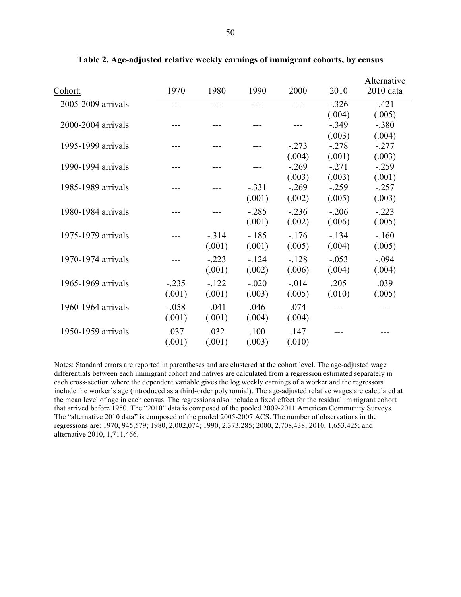| Cohort:            | 1970     | 1980    | 1990    | 2000     | 2010    | Alternative<br>2010 data |
|--------------------|----------|---------|---------|----------|---------|--------------------------|
| 2005-2009 arrivals |          |         |         |          | $-.326$ | $-421$                   |
|                    |          |         |         |          | (.004)  | (.005)                   |
| 2000-2004 arrivals |          |         |         |          | $-.349$ | $-.380$                  |
|                    |          |         |         |          | (.003)  | (.004)                   |
| 1995-1999 arrivals |          |         |         | $-273$   | $-.278$ | $-277$                   |
|                    |          |         |         | (.004)   | (.001)  | (.003)                   |
| 1990-1994 arrivals |          |         |         | $-.269$  | $-.271$ | $-259$                   |
|                    |          |         |         | (.003)   | (.003)  | (.001)                   |
| 1985-1989 arrivals |          |         | $-.331$ | $-269$   | $-.259$ | $-257$                   |
|                    |          |         | (.001)  | (.002)   | (.005)  | (.003)                   |
| 1980-1984 arrivals |          |         | $-.285$ | $-236$   | $-.206$ | $-.223$                  |
|                    |          |         | (.001)  | (.002)   | (.006)  | (.005)                   |
| 1975-1979 arrivals |          | $-314$  | $-185$  | $-176$   | $-134$  | $-160$                   |
|                    |          | (.001)  | (.001)  | (.005)   | (.004)  | (.005)                   |
| 1970-1974 arrivals |          | $-.223$ | $-124$  | $-.128$  | $-.053$ | $-.094$                  |
|                    |          | (.001)  | (.002)  | (.006)   | (.004)  | (.004)                   |
| 1965-1969 arrivals | $-0.235$ | $-122$  | $-.020$ | $-0.014$ | .205    | .039                     |
|                    | (.001)   | (.001)  | (.003)  | (.005)   | (.010)  | (.005)                   |
| 1960-1964 arrivals | $-.058$  | $-.041$ | .046    | .074     |         |                          |
|                    | (.001)   | (.001)  | (.004)  | (.004)   |         |                          |
| 1950-1959 arrivals | .037     | .032    | .100    | .147     |         |                          |
|                    | (.001)   | (.001)  | (.003)  | (.010)   |         |                          |
|                    |          |         |         |          |         |                          |

**Table 2. Age-adjusted relative weekly earnings of immigrant cohorts, by census**

Notes: Standard errors are reported in parentheses and are clustered at the cohort level. The age-adjusted wage differentials between each immigrant cohort and natives are calculated from a regression estimated separately in each cross-section where the dependent variable gives the log weekly earnings of a worker and the regressors include the worker's age (introduced as a third-order polynomial). The age-adjusted relative wages are calculated at the mean level of age in each census. The regressions also include a fixed effect for the residual immigrant cohort that arrived before 1950. The "2010" data is composed of the pooled 2009-2011 American Community Surveys. The "alternative 2010 data" is composed of the pooled 2005-2007 ACS. The number of observations in the regressions are: 1970, 945,579; 1980, 2,002,074; 1990, 2,373,285; 2000, 2,708,438; 2010, 1,653,425; and alternative 2010, 1,711,466.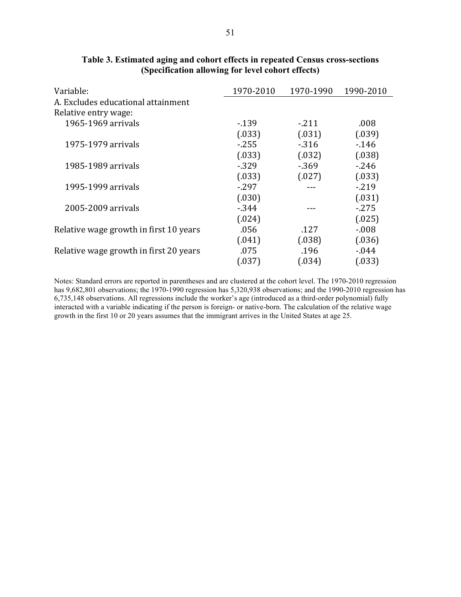| Variable:                              | 1970-2010 | 1970-1990 | 1990-2010 |
|----------------------------------------|-----------|-----------|-----------|
| A. Excludes educational attainment     |           |           |           |
| Relative entry wage:                   |           |           |           |
| 1965-1969 arrivals                     | $-139$    | $-211$    | .008      |
|                                        | (.033)    | (.031)    | (.039)    |
| 1975-1979 arrivals                     | $-255$    | $-316$    | $-146$    |
|                                        | (.033)    | (.032)    | (.038)    |
| 1985-1989 arrivals                     | $-329$    | $-369$    | $-246$    |
|                                        | (.033)    | (.027)    | (.033)    |
| 1995-1999 arrivals                     | $-297$    |           | $-219$    |
|                                        | (.030)    |           | (.031)    |
| 2005-2009 arrivals                     | $-344$    |           | $-275$    |
|                                        | (.024)    |           | (.025)    |
| Relative wage growth in first 10 years | .056      | .127      | $-0.08$   |
|                                        | (.041)    | (.038)    | (.036)    |
| Relative wage growth in first 20 years | .075      | .196      | $-0.044$  |
|                                        | (.037)    | (.034)    | (.033)    |

## **Table 3. Estimated aging and cohort effects in repeated Census cross-sections (Specification allowing for level cohort effects)**

Notes: Standard errors are reported in parentheses and are clustered at the cohort level. The 1970-2010 regression has 9,682,801 observations; the 1970-1990 regression has 5,320,938 observations; and the 1990-2010 regression has 6,735,148 observations. All regressions include the worker's age (introduced as a third-order polynomial) fully interacted with a variable indicating if the person is foreign- or native-born. The calculation of the relative wage growth in the first 10 or 20 years assumes that the immigrant arrives in the United States at age 25.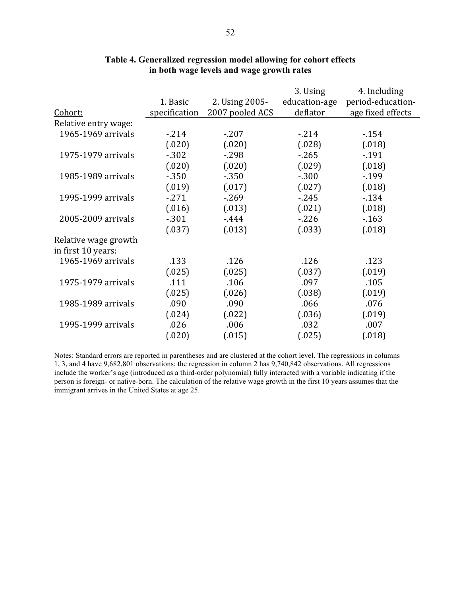|                      |               |                 | 3. Using      | 4. Including      |
|----------------------|---------------|-----------------|---------------|-------------------|
|                      | 1. Basic      | 2. Using 2005-  | education-age | period-education- |
| Cohort:              | specification | 2007 pooled ACS | deflator      | age fixed effects |
| Relative entry wage: |               |                 |               |                   |
| 1965-1969 arrivals   | $-214$        | $-207$          | $-214$        | $-154$            |
|                      | (.020)        | (.020)          | (.028)        | (.018)            |
| 1975-1979 arrivals   | $-302$        | $-298$          | $-265$        | $-191$            |
|                      | (.020)        | (.020)          | (.029)        | (.018)            |
| 1985-1989 arrivals   | $-350$        | $-350$          | $-.300$       | $-199$            |
|                      | (.019)        | (.017)          | (.027)        | (.018)            |
| 1995-1999 arrivals   | $-271$        | $-269$          | $-245$        | $-134$            |
|                      | (.016)        | (.013)          | (.021)        | (.018)            |
| 2005-2009 arrivals   | $-301$        | $-444$          | $-226$        | $-163$            |
|                      | (.037)        | (.013)          | (.033)        | (.018)            |
| Relative wage growth |               |                 |               |                   |
| in first 10 years:   |               |                 |               |                   |
| 1965-1969 arrivals   | .133          | .126            | .126          | .123              |
|                      | (.025)        | (.025)          | (.037)        | (.019)            |
| 1975-1979 arrivals   | .111          | .106            | .097          | .105              |
|                      | (.025)        | (.026)          | (.038)        | (.019)            |
| 1985-1989 arrivals   | .090          | .090            | .066          | .076              |
|                      | (.024)        | (.022)          | (.036)        | (.019)            |
| 1995-1999 arrivals   | .026          | .006            | .032          | .007              |
|                      | (.020)        | (.015)          | (.025)        | (.018)            |

## **Table 4. Generalized regression model allowing for cohort effects in both wage levels and wage growth rates**

Notes: Standard errors are reported in parentheses and are clustered at the cohort level. The regressions in columns 1, 3, and 4 have 9,682,801 observations; the regression in column 2 has 9,740,842 observations. All regressions include the worker's age (introduced as a third-order polynomial) fully interacted with a variable indicating if the person is foreign- or native-born. The calculation of the relative wage growth in the first 10 years assumes that the immigrant arrives in the United States at age 25.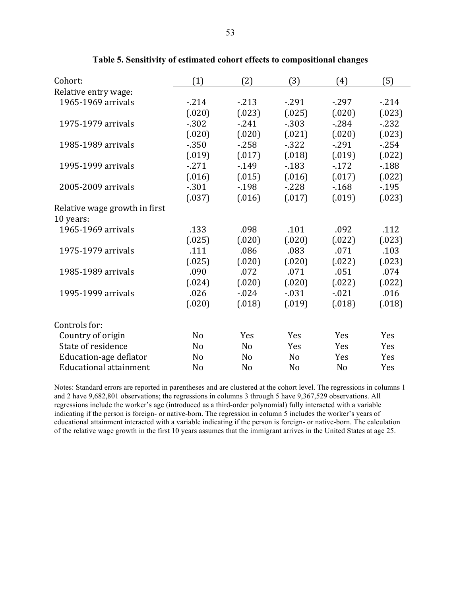| Cohort:                       | (1)            | (2)            | (3)            | (4)            | (5)    |
|-------------------------------|----------------|----------------|----------------|----------------|--------|
| Relative entry wage:          |                |                |                |                |        |
| 1965-1969 arrivals            | $-214$         | $-213$         | $-291$         | $-297$         | $-214$ |
|                               | (.020)         | (.023)         | (.025)         | (.020)         | (.023) |
| 1975-1979 arrivals            | $-302$         | $-241$         | $-303$         | $-284$         | $-232$ |
|                               | (.020)         | (.020)         | (.021)         | (.020)         | (.023) |
| 1985-1989 arrivals            | $-350$         | $-258$         | $-322$         | $-291$         | $-254$ |
|                               | (.019)         | (.017)         | (.018)         | (.019)         | (.022) |
| 1995-1999 arrivals            | $-271$         | $-149$         | $-183$         | $-172$         | $-188$ |
|                               | (.016)         | (.015)         | (.016)         | (.017)         | (.022) |
| 2005-2009 arrivals            | $-301$         | $-198$         | $-228$         | $-168$         | $-195$ |
|                               | (.037)         | (.016)         | (.017)         | (.019)         | (.023) |
| Relative wage growth in first |                |                |                |                |        |
| 10 years:                     |                |                |                |                |        |
| 1965-1969 arrivals            | .133           | .098           | .101           | .092           | .112   |
|                               | (.025)         | (.020)         | (.020)         | (.022)         | (.023) |
| 1975-1979 arrivals            | .111           | .086           | .083           | .071           | .103   |
|                               | (.025)         | (.020)         | (.020)         | (.022)         | (.023) |
| 1985-1989 arrivals            | .090           | .072           | .071           | .051           | .074   |
|                               | (.024)         | (.020)         | (.020)         | (.022)         | (.022) |
| 1995-1999 arrivals            | .026           | $-0.024$       | $-0.31$        | $-0.021$       | .016   |
|                               | (.020)         | (.018)         | (.019)         | (.018)         | (.018) |
| Controls for:                 |                |                |                |                |        |
| Country of origin             | No             | Yes            | Yes            | Yes            | Yes    |
| State of residence            | N <sub>0</sub> | N <sub>o</sub> | Yes            | Yes            | Yes    |
| Education-age deflator        | N <sub>0</sub> | N <sub>o</sub> | N <sub>o</sub> | Yes            | Yes    |
| <b>Educational attainment</b> | No             | N <sub>o</sub> | No             | N <sub>o</sub> | Yes    |

**Table 5. Sensitivity of estimated cohort effects to compositional changes**

Notes: Standard errors are reported in parentheses and are clustered at the cohort level. The regressions in columns 1 and 2 have 9,682,801 observations; the regressions in columns 3 through 5 have 9,367,529 observations. All regressions include the worker's age (introduced as a third-order polynomial) fully interacted with a variable indicating if the person is foreign- or native-born. The regression in column 5 includes the worker's years of educational attainment interacted with a variable indicating if the person is foreign- or native-born. The calculation of the relative wage growth in the first 10 years assumes that the immigrant arrives in the United States at age 25.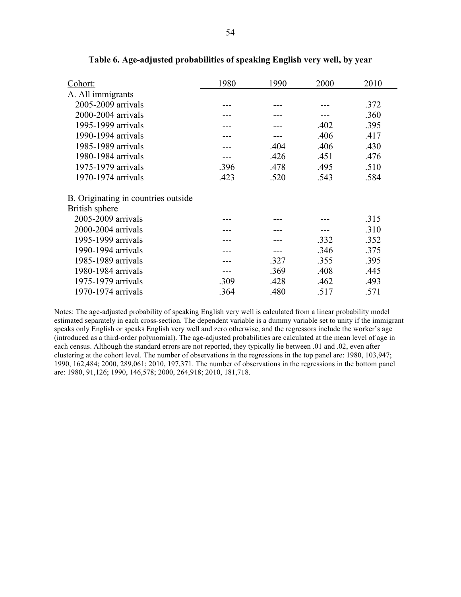| Cohort:                             | 1980 | 1990 | 2000 | 2010 |
|-------------------------------------|------|------|------|------|
| A. All immigrants                   |      |      |      |      |
| 2005-2009 arrivals                  |      |      |      | .372 |
| 2000-2004 arrivals                  |      |      |      | .360 |
| 1995-1999 arrivals                  |      |      | .402 | .395 |
| 1990-1994 arrivals                  |      |      | .406 | .417 |
| 1985-1989 arrivals                  |      | .404 | .406 | .430 |
| 1980-1984 arrivals                  |      | .426 | .451 | .476 |
| 1975-1979 arrivals                  | .396 | .478 | .495 | .510 |
| 1970-1974 arrivals                  | .423 | .520 | .543 | .584 |
| B. Originating in countries outside |      |      |      |      |
| British sphere                      |      |      |      |      |
| 2005-2009 arrivals                  |      |      |      | .315 |
| 2000-2004 arrivals                  |      |      |      | .310 |
| 1995-1999 arrivals                  |      |      | .332 | .352 |
| 1990-1994 arrivals                  |      |      | .346 | .375 |
| 1985-1989 arrivals                  |      | .327 | .355 | .395 |
| 1980-1984 arrivals                  |      | .369 | .408 | .445 |
| 1975-1979 arrivals                  | .309 | .428 | .462 | .493 |
| 1970-1974 arrivals                  | .364 | .480 | .517 | .571 |

**Table 6. Age-adjusted probabilities of speaking English very well, by year**

Notes: The age-adjusted probability of speaking English very well is calculated from a linear probability model estimated separately in each cross-section. The dependent variable is a dummy variable set to unity if the immigrant speaks only English or speaks English very well and zero otherwise, and the regressors include the worker's age (introduced as a third-order polynomial). The age-adjusted probabilities are calculated at the mean level of age in each census. Although the standard errors are not reported, they typically lie between .01 and .02, even after clustering at the cohort level. The number of observations in the regressions in the top panel are: 1980, 103,947; 1990, 162,484; 2000, 289,061; 2010, 197,371. The number of observations in the regressions in the bottom panel are: 1980, 91,126; 1990, 146,578; 2000, 264,918; 2010, 181,718.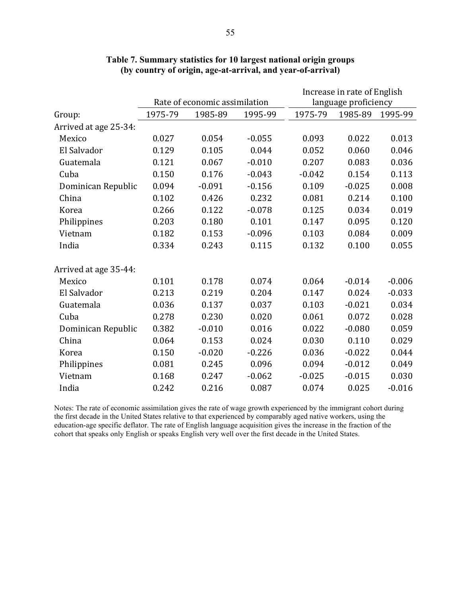|                       |         |                               |          |          | Increase in rate of English |          |
|-----------------------|---------|-------------------------------|----------|----------|-----------------------------|----------|
|                       |         | Rate of economic assimilation |          |          | language proficiency        |          |
| Group:                | 1975-79 | 1985-89                       | 1995-99  | 1975-79  | 1985-89                     | 1995-99  |
| Arrived at age 25-34: |         |                               |          |          |                             |          |
| Mexico                | 0.027   | 0.054                         | $-0.055$ | 0.093    | 0.022                       | 0.013    |
| El Salvador           | 0.129   | 0.105                         | 0.044    | 0.052    | 0.060                       | 0.046    |
| Guatemala             | 0.121   | 0.067                         | $-0.010$ | 0.207    | 0.083                       | 0.036    |
| Cuba                  | 0.150   | 0.176                         | $-0.043$ | $-0.042$ | 0.154                       | 0.113    |
| Dominican Republic    | 0.094   | $-0.091$                      | $-0.156$ | 0.109    | $-0.025$                    | 0.008    |
| China                 | 0.102   | 0.426                         | 0.232    | 0.081    | 0.214                       | 0.100    |
| Korea                 | 0.266   | 0.122                         | $-0.078$ | 0.125    | 0.034                       | 0.019    |
| Philippines           | 0.203   | 0.180                         | 0.101    | 0.147    | 0.095                       | 0.120    |
| Vietnam               | 0.182   | 0.153                         | $-0.096$ | 0.103    | 0.084                       | 0.009    |
| India                 | 0.334   | 0.243                         | 0.115    | 0.132    | 0.100                       | 0.055    |
| Arrived at age 35-44: |         |                               |          |          |                             |          |
| Mexico                | 0.101   | 0.178                         | 0.074    | 0.064    | $-0.014$                    | $-0.006$ |
| El Salvador           | 0.213   | 0.219                         | 0.204    | 0.147    | 0.024                       | $-0.033$ |
| Guatemala             | 0.036   | 0.137                         | 0.037    | 0.103    | $-0.021$                    | 0.034    |
| Cuba                  | 0.278   | 0.230                         | 0.020    | 0.061    | 0.072                       | 0.028    |
| Dominican Republic    | 0.382   | $-0.010$                      | 0.016    | 0.022    | $-0.080$                    | 0.059    |
| China                 | 0.064   | 0.153                         | 0.024    | 0.030    | 0.110                       | 0.029    |
| Korea                 | 0.150   | $-0.020$                      | $-0.226$ | 0.036    | $-0.022$                    | 0.044    |
| Philippines           | 0.081   | 0.245                         | 0.096    | 0.094    | $-0.012$                    | 0.049    |
| Vietnam               | 0.168   | 0.247                         | $-0.062$ | $-0.025$ | $-0.015$                    | 0.030    |
| India                 | 0.242   | 0.216                         | 0.087    | 0.074    | 0.025                       | $-0.016$ |

## **Table 7. Summary statistics for 10 largest national origin groups (by country of origin, age-at-arrival, and year-of-arrival)**

Notes: The rate of economic assimilation gives the rate of wage growth experienced by the immigrant cohort during the first decade in the United States relative to that experienced by comparably aged native workers, using the education-age specific deflator. The rate of English language acquisition gives the increase in the fraction of the cohort that speaks only English or speaks English very well over the first decade in the United States.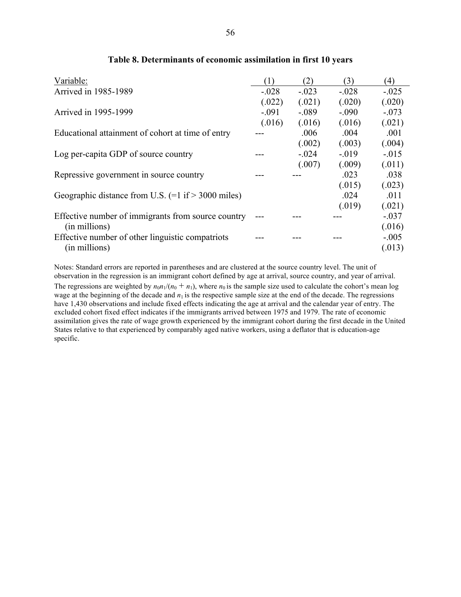| Variable:                                                            | (1)     | (2)     | (3)      | (4)     |
|----------------------------------------------------------------------|---------|---------|----------|---------|
| Arrived in 1985-1989                                                 | $-.028$ | $-.023$ | $-.028$  | $-.025$ |
|                                                                      | (.022)  | (.021)  | (.020)   | (.020)  |
| Arrived in 1995-1999                                                 | $-.091$ | $-.089$ | $-.090$  | $-.073$ |
|                                                                      | (.016)  | (.016)  | (.016)   | (.021)  |
| Educational attainment of cohort at time of entry                    |         | .006    | .004     | .001    |
|                                                                      |         | (.002)  | (.003)   | (.004)  |
| Log per-capita GDP of source country                                 |         | $-.024$ | $-0.019$ | $-.015$ |
|                                                                      |         | (.007)  | (.009)   | (.011)  |
| Repressive government in source country                              |         |         | .023     | .038    |
|                                                                      |         |         | (.015)   | (.023)  |
| Geographic distance from U.S. $(=1 \text{ if} > 3000 \text{ miles})$ |         |         | .024     | .011    |
|                                                                      |         |         | (.019)   | (.021)  |
| Effective number of immigrants from source country                   |         |         |          | $-.037$ |
| (in millions)                                                        |         |         |          | (.016)  |
| Effective number of other linguistic compatriots                     |         |         |          | $-.005$ |
| (in millions)                                                        |         |         |          | (.013)  |

### **Table 8. Determinants of economic assimilation in first 10 years**

Notes: Standard errors are reported in parentheses and are clustered at the source country level. The unit of observation in the regression is an immigrant cohort defined by age at arrival, source country, and year of arrival. The regressions are weighted by  $n_0n_1/(n_0 + n_1)$ , where  $n_0$  is the sample size used to calculate the cohort's mean log wage at the beginning of the decade and  $n_1$  is the respective sample size at the end of the decade. The regressions have 1,430 observations and include fixed effects indicating the age at arrival and the calendar year of entry. The excluded cohort fixed effect indicates if the immigrants arrived between 1975 and 1979. The rate of economic assimilation gives the rate of wage growth experienced by the immigrant cohort during the first decade in the United States relative to that experienced by comparably aged native workers, using a deflator that is education-age specific.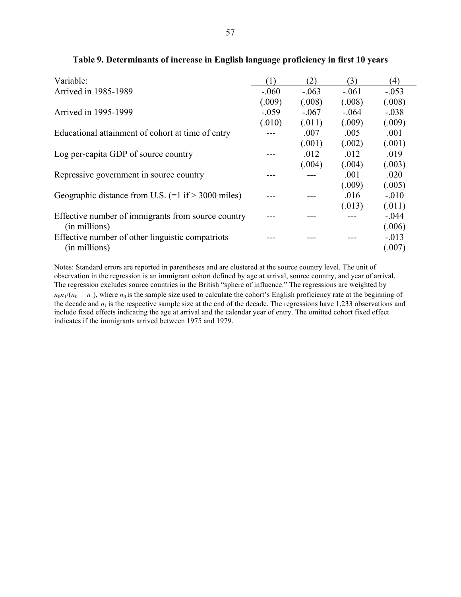| Variable:                                                            | (1)     | (2)     | (3)     | (4)     |
|----------------------------------------------------------------------|---------|---------|---------|---------|
| Arrived in 1985-1989                                                 | $-.060$ | $-.063$ | $-.061$ | $-.053$ |
|                                                                      | (.009)  | (.008)  | (.008)  | (.008)  |
| Arrived in 1995-1999                                                 | $-.059$ | $-.067$ | $-.064$ | $-.038$ |
|                                                                      | (.010)  | (.011)  | (.009)  | (.009)  |
| Educational attainment of cohort at time of entry                    |         | .007    | .005    | .001    |
|                                                                      |         | (.001)  | (.002)  | (.001)  |
| Log per-capita GDP of source country                                 |         | .012    | .012    | .019    |
|                                                                      |         | (.004)  | (.004)  | (.003)  |
| Repressive government in source country                              |         |         | .001    | .020    |
|                                                                      |         |         | (.009)  | (.005)  |
| Geographic distance from U.S. $(=1 \text{ if} > 3000 \text{ miles})$ |         |         | .016    | $-.010$ |
|                                                                      |         |         | (.013)  | (.011)  |
| Effective number of immigrants from source country                   |         |         |         | $-.044$ |
| (in millions)                                                        |         |         |         | (.006)  |
| Effective number of other linguistic compatriots                     |         |         |         | $-.013$ |
| (in millions)                                                        |         |         |         | (.007)  |

## **Table 9. Determinants of increase in English language proficiency in first 10 years**

Notes: Standard errors are reported in parentheses and are clustered at the source country level. The unit of observation in the regression is an immigrant cohort defined by age at arrival, source country, and year of arrival. The regression excludes source countries in the British "sphere of influence." The regressions are weighted by  $n_0n_1/(n_0 + n_1)$ , where  $n_0$  is the sample size used to calculate the cohort's English proficiency rate at the beginning of the decade and  $n_1$  is the respective sample size at the end of the decade. The regressions have 1,233 observations and include fixed effects indicating the age at arrival and the calendar year of entry. The omitted cohort fixed effect indicates if the immigrants arrived between 1975 and 1979.